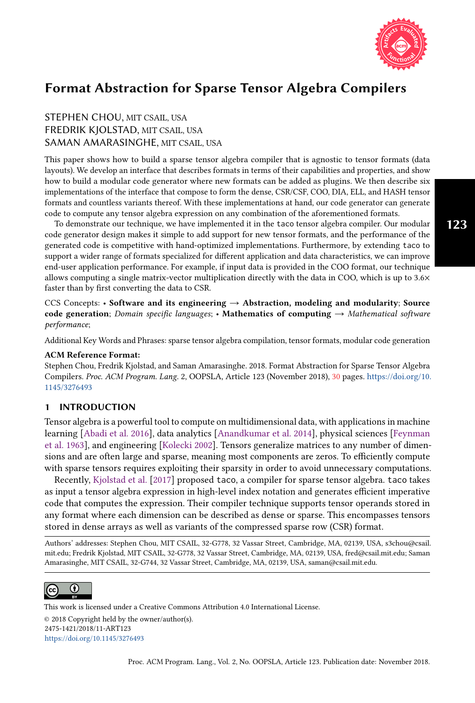

# STEPHEN CHOU, MIT CSAIL, USA FREDRIK KJOLSTAD, MIT CSAIL, USA SAMAN AMARASINGHE, MIT CSAIL, USA

This paper shows how to build a sparse tensor algebra compiler that is agnostic to tensor formats (data layouts). We develop an interface that describes formats in terms of their capabilities and properties, and show how to build a modular code generator where new formats can be added as plugins. We then describe six implementations of the interface that compose to form the dense, CSR/CSF, COO, DIA, ELL, and HASH tensor formats and countless variants thereof. With these implementations at hand, our code generator can generate code to compute any tensor algebra expression on any combination of the aforementioned formats.

To demonstrate our technique, we have implemented it in the taco tensor algebra compiler. Our modular code generator design makes it simple to add support for new tensor formats, and the performance of the generated code is competitive with hand-optimized implementations. Furthermore, by extending taco to support a wider range of formats specialized for different application and data characteristics, we can improve end-user application performance. For example, if input data is provided in the COO format, our technique allows computing a single matrix-vector multiplication directly with the data in COO, which is up to 3.6× faster than by first converting the data to CSR.

CCS Concepts: • Software and its engineering  $\rightarrow$  Abstraction, modeling and modularity; Source code generation; Domain specific languages; • Mathematics of computing  $\rightarrow$  Mathematical software performance;

Additional Key Words and Phrases: sparse tensor algebra compilation, tensor formats, modular code generation

#### ACM Reference Format:

Stephen Chou, Fredrik Kjolstad, and Saman Amarasinghe. 2018. Format Abstraction for Sparse Tensor Algebra Compilers. Proc. ACM Program. Lang. 2, OOPSLA, Article 123 (November 2018), [30](#page-29-0) pages. [https://doi.org/10.](https://doi.org/10.1145/3276493) [1145/3276493](https://doi.org/10.1145/3276493)

# 1 INTRODUCTION

Tensor algebra is a powerful tool to compute on multidimensional data, with applications in machine learning [\[Abadi et al.](#page-27-0) [2016\]](#page-27-0), data analytics [\[Anandkumar et al.](#page-27-1) [2014\]](#page-27-1), physical sciences [\[Feynman](#page-27-2) [et al.](#page-27-2) [1963\]](#page-27-2), and engineering [\[Kolecki 2002\]](#page-28-0). Tensors generalize matrices to any number of dimensions and are often large and sparse, meaning most components are zeros. To efficiently compute with sparse tensors requires exploiting their sparsity in order to avoid unnecessary computations.

Recently, [Kjolstad et al.](#page-28-1) [\[2017\]](#page-28-1) proposed taco, a compiler for sparse tensor algebra. taco takes as input a tensor algebra expression in high-level index notation and generates efficient imperative code that computes the expression. Their compiler technique supports tensor operands stored in any format where each dimension can be described as dense or sparse. This encompasses tensors stored in dense arrays as well as variants of the compressed sparse row (CSR) format.

Authors' addresses: Stephen Chou, MIT CSAIL, 32-G778, 32 Vassar Street, Cambridge, MA, 02139, USA, s3chou@csail. mit.edu; Fredrik Kjolstad, MIT CSAIL, 32-G778, 32 Vassar Street, Cambridge, MA, 02139, USA, fred@csail.mit.edu; Saman Amarasinghe, MIT CSAIL, 32-G744, 32 Vassar Street, Cambridge, MA, 02139, USA, saman@csail.mit.edu.



This work is licensed under a Creative Commons Attribution 4.0 International License. © 2018 Copyright held by the owner/author(s). 2475-1421/2018/11-ART123 <https://doi.org/10.1145/3276493>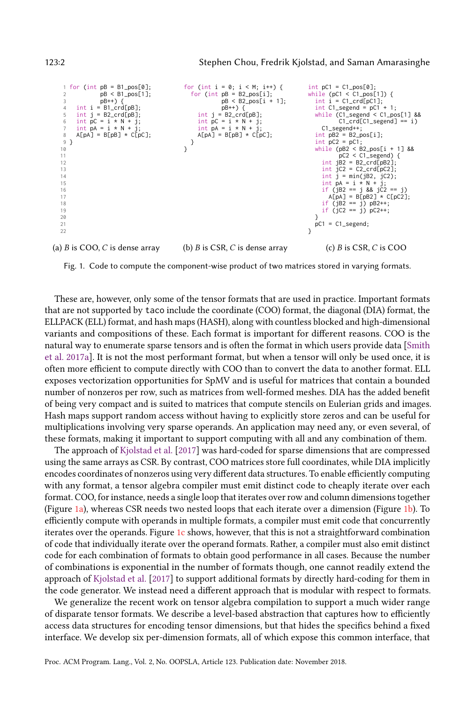<span id="page-1-0"></span>

| 1 for (int $pB = B1_p cos[0];$<br>$pB < B1_ppos[1];$<br>2<br>3<br>$pB++$ ) {<br>$int i = B1_ccrd[pB];$<br>4<br>$int i = B2_ccrd[pB];$<br>5<br>int $pC = i * N + i$ ;<br>6<br>int $pA = i * N + j$ ;<br>$\overline{7}$<br>$A[pA] = B[pB] * C[pC];$<br>8<br>$9$ }<br>10<br>11<br>12<br>13<br>14<br>15<br>16<br>17<br>18<br>19<br>20<br>21<br>22 | for (int i = 0; i < M; i++) {<br>for (int $pB = B2_p cos[i];$<br>$pB < B2_ppos[i + 1];$<br>$pB++$ ) {<br>$int j = B2_ccrd[pB];$<br>int $pC = i * N + i$ ;<br>int $pA = i * N + i$ ;<br>$A[pA] = B[pB] \times C[pC];$ | int $pC1 = C1_p cos[0];$<br>while $(pC1 < C1_p cos[1])$ {<br>int $i = C1_c \text{crd}[pC1];$<br>int $C1$ _segend = $pC1 + 1$ ;<br>while $(Cl_s$ egend < $Cl_s$ pos $[1]$ &&<br>$C1_c r d[C1_segend] == i)$<br>C1_segend++;<br>$int pB2 = B2_pos[i];$<br>int $pC2 = pC1$ ;<br>while $(pB2 < B2_p cos[i + 1] & 88$<br>$pC2 < C1$ _segend) {<br>$int$ jB2 = B2_crd[pB2];<br>int $jC2 = C2_c \text{crd}[pC2];$<br>int $j = min(jB2, jC2)$ ;<br>int $pA = i * N + i$ ;<br>if $(jB2 == j & 88 jC2 == j)$<br>$A[pA] = B[pB2] * C[pC2];$<br>if $(iB2 == i) pB2++$ ;<br>if $(iC2 == i) pC2++$ ;<br>$pC1 = C1$ _segend; |
|-----------------------------------------------------------------------------------------------------------------------------------------------------------------------------------------------------------------------------------------------------------------------------------------------------------------------------------------------|----------------------------------------------------------------------------------------------------------------------------------------------------------------------------------------------------------------------|---------------------------------------------------------------------------------------------------------------------------------------------------------------------------------------------------------------------------------------------------------------------------------------------------------------------------------------------------------------------------------------------------------------------------------------------------------------------------------------------------------------------------------------------------------------------------------------------------------------|
| (a) B is COO, C is dense array                                                                                                                                                                                                                                                                                                                | (b) $B$ is CSR, $C$ is dense array                                                                                                                                                                                   | (c) $B$ is CSR, $C$ is COO                                                                                                                                                                                                                                                                                                                                                                                                                                                                                                                                                                                    |

Fig. 1. Code to compute the component-wise product of two matrices stored in varying formats.

These are, however, only some of the tensor formats that are used in practice. Important formats that are not supported by taco include the coordinate (COO) format, the diagonal (DIA) format, the ELLPACK (ELL) format, and hash maps (HASH), along with countless blocked and high-dimensional variants and compositions of these. Each format is important for different reasons. COO is the natural way to enumerate sparse tensors and is often the format in which users provide data [\[Smith](#page-28-2) [et al.](#page-28-2) [2017a\]](#page-28-2). It is not the most performant format, but when a tensor will only be used once, it is often more efficient to compute directly with COO than to convert the data to another format. ELL exposes vectorization opportunities for SpMV and is useful for matrices that contain a bounded number of nonzeros per row, such as matrices from well-formed meshes. DIA has the added benefit of being very compact and is suited to matrices that compute stencils on Eulerian grids and images. Hash maps support random access without having to explicitly store zeros and can be useful for multiplications involving very sparse operands. An application may need any, or even several, of these formats, making it important to support computing with all and any combination of them.

The approach of [Kjolstad et al.](#page-28-1) [\[2017\]](#page-28-1) was hard-coded for sparse dimensions that are compressed using the same arrays as CSR. By contrast, COO matrices store full coordinates, while DIA implicitly encodes coordinates of nonzeros using very different data structures. To enable efficiently computing with any format, a tensor algebra compiler must emit distinct code to cheaply iterate over each format. COO, for instance, needs a single loop that iterates over row and column dimensions together (Figure [1a\)](#page-1-0), whereas CSR needs two nested loops that each iterate over a dimension (Figure [1b\)](#page-1-0). To efficiently compute with operands in multiple formats, a compiler must emit code that concurrently iterates over the operands. Figure [1c](#page-1-0) shows, however, that this is not a straightforward combination of code that individually iterate over the operand formats. Rather, a compiler must also emit distinct code for each combination of formats to obtain good performance in all cases. Because the number of combinations is exponential in the number of formats though, one cannot readily extend the approach of [Kjolstad et al.](#page-28-1) [\[2017\]](#page-28-1) to support additional formats by directly hard-coding for them in the code generator. We instead need a different approach that is modular with respect to formats.

We generalize the recent work on tensor algebra compilation to support a much wider range of disparate tensor formats. We describe a level-based abstraction that captures how to efficiently access data structures for encoding tensor dimensions, but that hides the specifics behind a fixed interface. We develop six per-dimension formats, all of which expose this common interface, that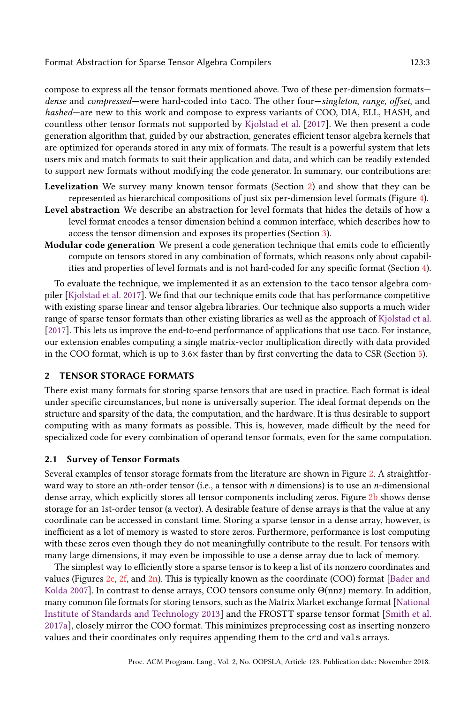compose to express all the tensor formats mentioned above. Two of these per-dimension formats dense and compressed—were hard-coded into taco. The other four—singleton, range, offset, and hashed–are new to this work and compose to express variants of COO, DIA, ELL, HASH, and countless other tensor formats not supported by [Kjolstad et al.](#page-28-1) [\[2017\]](#page-28-1). We then present a code generation algorithm that, guided by our abstraction, generates efficient tensor algebra kernels that are optimized for operands stored in any mix of formats. The result is a powerful system that lets users mix and match formats to suit their application and data, and which can be readily extended to support new formats without modifying the code generator. In summary, our contributions are:

- Levelization We survey many known tensor formats (Section [2\)](#page-2-0) and show that they can be represented as hierarchical compositions of just six per-dimension level formats (Figure [4\)](#page-7-0).
- Level abstraction We describe an abstraction for level formats that hides the details of how a level format encodes a tensor dimension behind a common interface, which describes how to access the tensor dimension and exposes its properties (Section [3\)](#page-5-0).
- Modular code generation We present a code generation technique that emits code to efficiently compute on tensors stored in any combination of formats, which reasons only about capabilities and properties of level formats and is not hard-coded for any specific format (Section [4\)](#page-12-0).

To evaluate the technique, we implemented it as an extension to the taco tensor algebra compiler [\[Kjolstad et al.](#page-28-1) [2017\]](#page-28-1). We find that our technique emits code that has performance competitive with existing sparse linear and tensor algebra libraries. Our technique also supports a much wider range of sparse tensor formats than other existing libraries as well as the approach of [Kjolstad et al.](#page-28-1) [\[2017\]](#page-28-1). This lets us improve the end-to-end performance of applications that use taco. For instance, our extension enables computing a single matrix-vector multiplication directly with data provided in the COO format, which is up to  $3.6\times$  faster than by first converting the data to CSR (Section [5\)](#page-18-0).

# <span id="page-2-0"></span>2 TENSOR STORAGE FORMATS

There exist many formats for storing sparse tensors that are used in practice. Each format is ideal under specific circumstances, but none is universally superior. The ideal format depends on the structure and sparsity of the data, the computation, and the hardware. It is thus desirable to support computing with as many formats as possible. This is, however, made difficult by the need for specialized code for every combination of operand tensor formats, even for the same computation.

# 2.1 Survey of Tensor Formats

Several examples of tensor storage formats from the literature are shown in Figure [2.](#page-3-0) A straightforward way to store an *n*th-order tensor (i.e., a tensor with *n* dimensions) is to use an *n*-dimensional dense array, which explicitly stores all tensor components including zeros. Figure [2b](#page-3-0) shows dense storage for an 1st-order tensor (a vector). A desirable feature of dense arrays is that the value at any coordinate can be accessed in constant time. Storing a sparse tensor in a dense array, however, is inefficient as a lot of memory is wasted to store zeros. Furthermore, performance is lost computing with these zeros even though they do not meaningfully contribute to the result. For tensors with many large dimensions, it may even be impossible to use a dense array due to lack of memory.

The simplest way to efficiently store a sparse tensor is to keep a list of its nonzero coordinates and values (Figures [2c,](#page-3-0) [2f,](#page-3-0) and [2n\)](#page-3-0). This is typically known as the coordinate (COO) format [\[Bader and](#page-27-3) [Kolda 2007\]](#page-27-3). In contrast to dense arrays, COO tensors consume only Θ(nnz) memory. In addition, many common file formats for storing tensors, such as the Matrix Market exchange format [\[National](#page-28-3) [Institute of Standards and Technology 2013\]](#page-28-3) and the FROSTT sparse tensor format [\[Smith et al.](#page-28-2) [2017a\]](#page-28-2), closely mirror the COO format. This minimizes preprocessing cost as inserting nonzero values and their coordinates only requires appending them to the crd and vals arrays.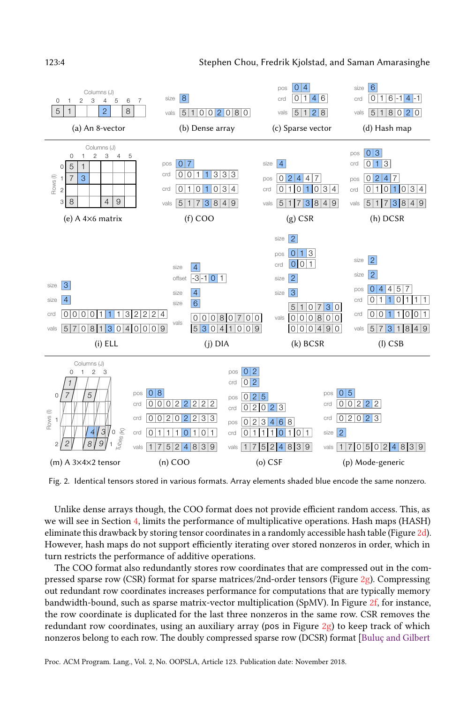#### 123:4 Stephen Chou, Fredrik Kjolstad, and Saman Amarasinghe

<span id="page-3-0"></span>

Fig. 2. Identical tensors stored in various formats. Array elements shaded blue encode the same nonzero.

Unlike dense arrays though, the COO format does not provide efficient random access. This, as we will see in Section [4,](#page-12-0) limits the performance of multiplicative operations. Hash maps (HASH) eliminate this drawback by storing tensor coordinates in a randomly accessible hash table (Figure [2d\)](#page-3-0). However, hash maps do not support efficiently iterating over stored nonzeros in order, which in turn restricts the performance of additive operations.

The COO format also redundantly stores row coordinates that are compressed out in the compressed sparse row (CSR) format for sparse matrices/2nd-order tensors (Figure [2g\)](#page-3-0). Compressing out redundant row coordinates increases performance for computations that are typically memory bandwidth-bound, such as sparse matrix-vector multiplication (SpMV). In Figure [2f,](#page-3-0) for instance, the row coordinate is duplicated for the last three nonzeros in the same row. CSR removes the redundant row coordinates, using an auxiliary array (pos in Figure  $2g$ ) to keep track of which nonzeros belong to each row. The doubly compressed sparse row (DCSR) format [\[Buluç and Gilbert](#page-27-4)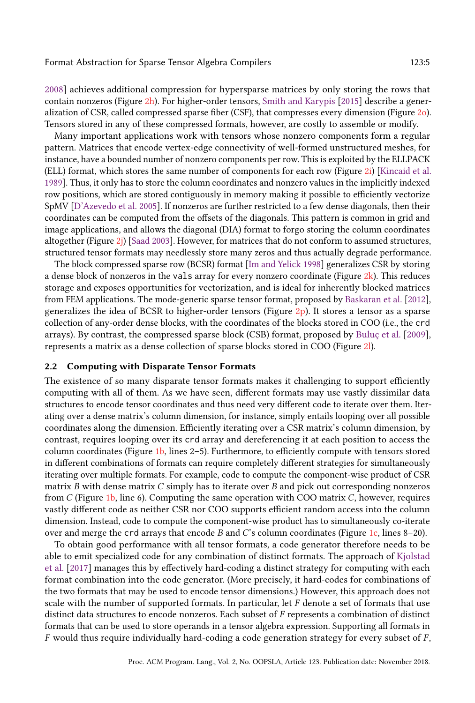[2008\]](#page-27-4) achieves additional compression for hypersparse matrices by only storing the rows that contain nonzeros (Figure [2h\)](#page-3-0). For higher-order tensors, [Smith and Karypis](#page-28-4) [\[2015\]](#page-28-4) describe a generalization of CSR, called compressed sparse fiber (CSF), that compresses every dimension (Figure [2o\)](#page-3-0). Tensors stored in any of these compressed formats, however, are costly to assemble or modify.

Many important applications work with tensors whose nonzero components form a regular pattern. Matrices that encode vertex-edge connectivity of well-formed unstructured meshes, for instance, have a bounded number of nonzero components per row. This is exploited by the ELLPACK (ELL) format, which stores the same number of components for each row (Figure [2i\)](#page-3-0) [\[Kincaid et al.](#page-28-5) [1989\]](#page-28-5). Thus, it only has to store the column coordinates and nonzero values in the implicitly indexed row positions, which are stored contiguously in memory making it possible to efficiently vectorize SpMV [\[D'Azevedo et al.](#page-27-5) [2005\]](#page-27-5). If nonzeros are further restricted to a few dense diagonals, then their coordinates can be computed from the offsets of the diagonals. This pattern is common in grid and image applications, and allows the diagonal (DIA) format to forgo storing the column coordinates altogether (Figure [2j\)](#page-3-0) [\[Saad 2003\]](#page-28-6). However, for matrices that do not conform to assumed structures, structured tensor formats may needlessly store many zeros and thus actually degrade performance.

The block compressed sparse row (BCSR) format [\[Im and Yelick 1998\]](#page-27-6) generalizes CSR by storing a dense block of nonzeros in the vals array for every nonzero coordinate (Figure  $2k$ ). This reduces storage and exposes opportunities for vectorization, and is ideal for inherently blocked matrices from FEM applications. The mode-generic sparse tensor format, proposed by [Baskaran et al.](#page-27-7) [\[2012\]](#page-27-7), generalizes the idea of BCSR to higher-order tensors (Figure [2p\)](#page-3-0). It stores a tensor as a sparse collection of any-order dense blocks, with the coordinates of the blocks stored in COO (i.e., the crd arrays). By contrast, the compressed sparse block (CSB) format, proposed by [Buluç et al.](#page-27-8) [\[2009\]](#page-27-8), represents a matrix as a dense collection of sparse blocks stored in COO (Figure [2l\)](#page-3-0).

#### 2.2 Computing with Disparate Tensor Formats

The existence of so many disparate tensor formats makes it challenging to support efficiently computing with all of them. As we have seen, different formats may use vastly dissimilar data structures to encode tensor coordinates and thus need very different code to iterate over them. Iterating over a dense matrix's column dimension, for instance, simply entails looping over all possible coordinates along the dimension. Efficiently iterating over a CSR matrix's column dimension, by contrast, requires looping over its crd array and dereferencing it at each position to access the column coordinates (Figure [1b,](#page-1-0) lines 2–5). Furthermore, to efficiently compute with tensors stored in different combinations of formats can require completely different strategies for simultaneously iterating over multiple formats. For example, code to compute the component-wise product of CSR matrix  $B$  with dense matrix  $C$  simply has to iterate over  $B$  and pick out corresponding nonzeros from  $C$  (Figure [1b,](#page-1-0) line 6). Computing the same operation with COO matrix  $C$ , however, requires vastly different code as neither CSR nor COO supports efficient random access into the column dimension. Instead, code to compute the component-wise product has to simultaneously co-iterate over and merge the crd arrays that encode B and C's column coordinates (Figure [1c,](#page-1-0) lines 8–20).

To obtain good performance with all tensor formats, a code generator therefore needs to be able to emit specialized code for any combination of distinct formats. The approach of [Kjolstad](#page-28-1) [et al.](#page-28-1) [\[2017\]](#page-28-1) manages this by effectively hard-coding a distinct strategy for computing with each format combination into the code generator. (More precisely, it hard-codes for combinations of the two formats that may be used to encode tensor dimensions.) However, this approach does not scale with the number of supported formats. In particular, let  $F$  denote a set of formats that use distinct data structures to encode nonzeros. Each subset of F represents a combination of distinct formats that can be used to store operands in a tensor algebra expression. Supporting all formats in  $F$  would thus require individually hard-coding a code generation strategy for every subset of  $F$ ,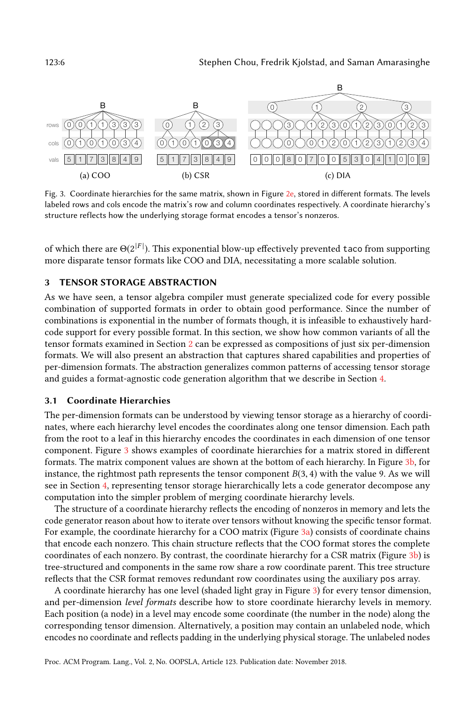<span id="page-5-1"></span>

Fig. 3. Coordinate hierarchies for the same matrix, shown in Figure [2e,](#page-3-0) stored in different formats. The levels labeled rows and cols encode the matrix's row and column coordinates respectively. A coordinate hierarchy's structure reflects how the underlying storage format encodes a tensor's nonzeros.

of which there are  $\Theta(2^{|F|})$ . This exponential blow-up effectively prevented <code>taco</code> from supporting more disparate tensor formats like COO and DIA, necessitating a more scalable solution.

# <span id="page-5-0"></span>3 TENSOR STORAGE ABSTRACTION

As we have seen, a tensor algebra compiler must generate specialized code for every possible combination of supported formats in order to obtain good performance. Since the number of combinations is exponential in the number of formats though, it is infeasible to exhaustively hardcode support for every possible format. In this section, we show how common variants of all the tensor formats examined in Section [2](#page-2-0) can be expressed as compositions of just six per-dimension formats. We will also present an abstraction that captures shared capabilities and properties of per-dimension formats. The abstraction generalizes common patterns of accessing tensor storage and guides a format-agnostic code generation algorithm that we describe in Section [4.](#page-12-0)

# <span id="page-5-2"></span>3.1 Coordinate Hierarchies

The per-dimension formats can be understood by viewing tensor storage as a hierarchy of coordinates, where each hierarchy level encodes the coordinates along one tensor dimension. Each path from the root to a leaf in this hierarchy encodes the coordinates in each dimension of one tensor component. Figure [3](#page-5-1) shows examples of coordinate hierarchies for a matrix stored in different formats. The matrix component values are shown at the bottom of each hierarchy. In Figure [3b,](#page-5-1) for instance, the rightmost path represents the tensor component  $B(3, 4)$  with the value 9. As we will see in Section [4,](#page-12-0) representing tensor storage hierarchically lets a code generator decompose any computation into the simpler problem of merging coordinate hierarchy levels.

The structure of a coordinate hierarchy reflects the encoding of nonzeros in memory and lets the code generator reason about how to iterate over tensors without knowing the specific tensor format. For example, the coordinate hierarchy for a COO matrix (Figure [3a\)](#page-5-1) consists of coordinate chains that encode each nonzero. This chain structure reflects that the COO format stores the complete coordinates of each nonzero. By contrast, the coordinate hierarchy for a CSR matrix (Figure [3b\)](#page-5-1) is tree-structured and components in the same row share a row coordinate parent. This tree structure reflects that the CSR format removes redundant row coordinates using the auxiliary pos array.

A coordinate hierarchy has one level (shaded light gray in Figure [3\)](#page-5-1) for every tensor dimension, and per-dimension level formats describe how to store coordinate hierarchy levels in memory. Each position (a node) in a level may encode some coordinate (the number in the node) along the corresponding tensor dimension. Alternatively, a position may contain an unlabeled node, which encodes no coordinate and reflects padding in the underlying physical storage. The unlabeled nodes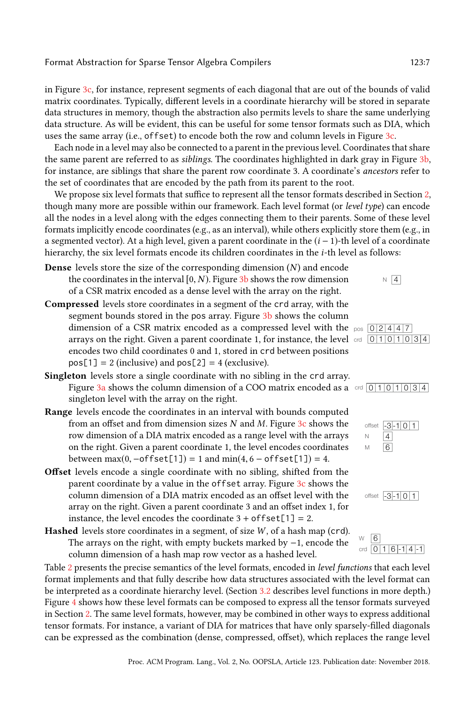in Figure [3c,](#page-5-1) for instance, represent segments of each diagonal that are out of the bounds of valid matrix coordinates. Typically, different levels in a coordinate hierarchy will be stored in separate data structures in memory, though the abstraction also permits levels to share the same underlying data structure. As will be evident, this can be useful for some tensor formats such as DIA, which uses the same array (i.e., offset) to encode both the row and column levels in Figure [3c.](#page-5-1)

Each node in a level may also be connected to a parent in the previous level. Coordinates that share the same parent are referred to as siblings. The coordinates highlighted in dark gray in Figure [3b,](#page-5-1) for instance, are siblings that share the parent row coordinate 3. A coordinate's ancestors refer to the set of coordinates that are encoded by the path from its parent to the root.

We propose six level formats that suffice to represent all the tensor formats described in Section [2,](#page-2-0) though many more are possible within our framework. Each level format (or *level type*) can encode all the nodes in a level along with the edges connecting them to their parents. Some of these level formats implicitly encode coordinates (e.g., as an interval), while others explicitly store them (e.g., in a segmented vector). At a high level, given a parent coordinate in the  $(i - 1)$ -th level of a coordinate hierarchy, the six level formats encode its children coordinates in the *i*-th level as follows:

- **Dense** levels store the size of the corresponding dimension  $(N)$  and encode the coordinates in the interval  $[0, N)$ . Figure [3b](#page-5-1) shows the row dimension of a CSR matrix encoded as a dense level with the array on the right.
- Compressed levels store coordinates in a segment of the crd array, with the segment bounds stored in the pos array. Figure [3b](#page-5-1) shows the column dimension of a CSR matrix encoded as a compressed level with the  $_{\text{p}}$ arrays on the right. Given a parent coordinate 1, for instance, the level of encodes two child coordinates 0 and 1, stored in crd between positions  $pos[1] = 2$  (inclusive) and  $pos[2] = 4$  (exclusive).
- Singleton levels store a single coordinate with no sibling in the crd array. Figure [3a](#page-5-1) shows the column dimension of a COO matrix encoded as a  $\frac{1}{\text{col}} \frac{1}{\text{col}} \frac{1}{\text{col}} \frac{1}{\text{col}} \frac{1}{\text{col}}$ singleton level with the array on the right.
- Range levels encode the coordinates in an interval with bounds computed from an offset and from dimension sizes  $N$  and  $M$ . Figure [3c](#page-5-1) shows the row dimension of a DIA matrix encoded as a range level with the arrays on the right. Given a parent coordinate 1, the level encodes coordinates between  $max(0, -offset[1]) = 1$  and  $min(4, 6 - offset[1]) = 4$ .
- Offset levels encode a single coordinate with no sibling, shifted from the parent coordinate by a value in the offset array. Figure [3c](#page-5-1) shows the column dimension of a DIA matrix encoded as an offset level with the array on the right. Given a parent coordinate 3 and an offset index 1, for instance, the level encodes the coordinate  $3 + \text{offset}[1] = 2$ .
- Hashed levels store coordinates in a segment, of size  $W$ , of a hash map (crd). The arrays on the right, with empty buckets marked by −1, encode the column dimension of a hash map row vector as a hashed level.

Table [2](#page-8-0) presents the precise semantics of the level formats, encoded in level functions that each level format implements and that fully describe how data structures associated with the level format can be interpreted as a coordinate hierarchy level. (Section [3.2](#page-8-1) describes level functions in more depth.) Figure [4](#page-7-0) shows how these level formats can be composed to express all the tensor formats surveyed in Section [2.](#page-2-0) The same level formats, however, may be combined in other ways to express additional tensor formats. For instance, a variant of DIA for matrices that have only sparsely-filled diagonals can be expressed as the combination (dense, compressed, offset), which replaces the range level



pos 0 2 4 4 crd 0 1 0 1 0 7 3 4





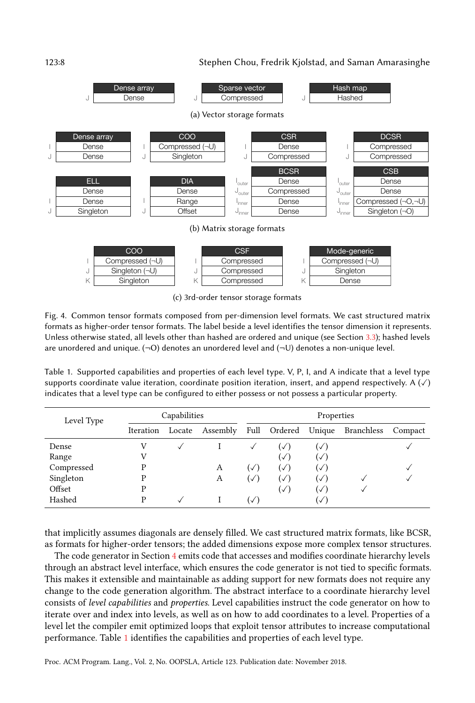123:8 Stephen Chou, Fredrik Kjolstad, and Saman Amarasinghe

<span id="page-7-0"></span>

(c) 3rd-order tensor storage formats

Fig. 4. Common tensor formats composed from per-dimension level formats. We cast structured matrix formats as higher-order tensor formats. The label beside a level identifies the tensor dimension it represents. Unless otherwise stated, all levels other than hashed are ordered and unique (see Section [3.3\)](#page-10-0); hashed levels are unordered and unique.  $(\neg O)$  denotes an unordered level and  $(\neg U)$  denotes a non-unique level.

<span id="page-7-1"></span>Table 1. Supported capabilities and properties of each level type. V, P, I, and A indicate that a level type supports coordinate value iteration, coordinate position iteration, insert, and append respectively. A  $(\checkmark)$ indicates that a level type can be configured to either possess or not possess a particular property.

| Level Type | Capabilities |        |               | Properties |               |                |                   |         |
|------------|--------------|--------|---------------|------------|---------------|----------------|-------------------|---------|
|            | Iteration    | Locate | Assembly Full |            | Ordered       | Unique         | <b>Branchless</b> | Compact |
| Dense      | V            |        |               |            | '✓)           | $\checkmark$   |                   |         |
| Range      |              |        |               |            | $(\surd)$     | $\sqrt{ }$     |                   |         |
| Compressed |              |        | А             | $(\surd)$  | $(\sqrt{ } )$ | $\checkmark$ ) |                   |         |
| Singleton  |              |        | А             | $(\surd)$  | $\mathcal{S}$ | $\checkmark$ ) |                   |         |
| Offset     | D            |        |               |            | $\mathcal{S}$ | $\sqrt{ }$     | √                 |         |
| Hashed     | р            |        |               | $\sqrt{ }$ |               | $\checkmark$   |                   |         |

that implicitly assumes diagonals are densely filled. We cast structured matrix formats, like BCSR, as formats for higher-order tensors; the added dimensions expose more complex tensor structures.

The code generator in Section [4](#page-12-0) emits code that accesses and modifies coordinate hierarchy levels through an abstract level interface, which ensures the code generator is not tied to specific formats. This makes it extensible and maintainable as adding support for new formats does not require any change to the code generation algorithm. The abstract interface to a coordinate hierarchy level consists of level capabilities and properties. Level capabilities instruct the code generator on how to iterate over and index into levels, as well as on how to add coordinates to a level. Properties of a level let the compiler emit optimized loops that exploit tensor attributes to increase computational performance. Table [1](#page-7-1) identifies the capabilities and properties of each level type.

Proc. ACM Program. Lang., Vol. 2, No. OOPSLA, Article 123. Publication date: November 2018.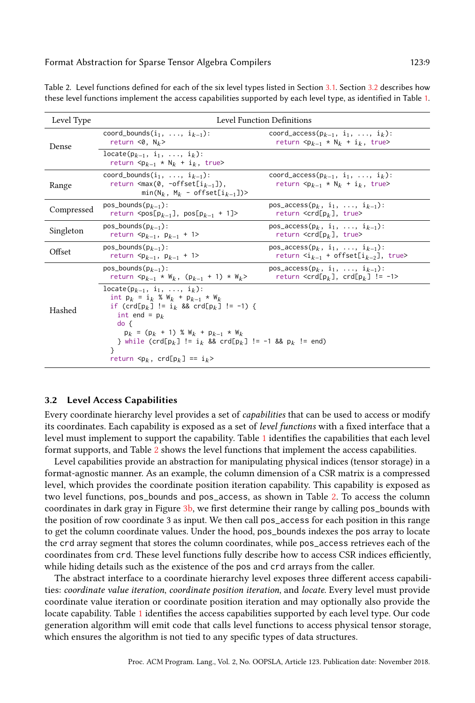| Level Type |                                                                                                                                                                                                                                                                                                                                                        | Level Function Definitions                                                                                      |
|------------|--------------------------------------------------------------------------------------------------------------------------------------------------------------------------------------------------------------------------------------------------------------------------------------------------------------------------------------------------------|-----------------------------------------------------------------------------------------------------------------|
| Dense      | coord_bounds( $i_1, \ldots, i_{k-1}$ ):<br>return $\langle 0, N_k \rangle$                                                                                                                                                                                                                                                                             | coord_access( $p_{k-1}$ , $i_1$ , , $i_k$ ):<br>return $\langle p_{k-1} \times N_k + i_k$ , true>               |
|            | $locate(p_{k-1}, i_1, , i_k)$ :<br>return $\langle p_{k-1} \times N_k + i_k, \text{ true} \rangle$                                                                                                                                                                                                                                                     |                                                                                                                 |
| Range      | coord_bounds( $i_1, \ldots, i_{k-1}$ ):<br>return $\langle \text{max}(0, -\text{offset}[i_{k-1}]) \rangle$ ,<br>$min(N_k, M_k - offset[i_{k-1}])$                                                                                                                                                                                                      | coord_access( $p_{k-1}$ , $i_1$ , , $i_k$ ):<br>return $\langle p_{k-1} \times N_k + i_k, \text{ true} \rangle$ |
| Compressed | $pos_b$ ounds $(p_{k-1})$ :<br>return <pos[<math>p_{k-1}], <math>pos[p_{k-1} + 1]</math>&gt;</pos[<math>                                                                                                                                                                                                                                               | $pos_{a}$ access $(p_k, i_1, , i_{k-1})$ :<br>return $\text{card}[p_k]$ , true>                                 |
| Singleton  | $pos_bounds(p_{k-1})$ :<br>return $\langle p_{k-1}, p_{k-1} + 1 \rangle$                                                                                                                                                                                                                                                                               | pos_access( $p_k$ , $i_1$ , , $i_{k-1}$ ):<br>return $\text{card}[p_k]$ , true>                                 |
| Offset     | $pos_bounds(p_{k-1})$ :<br>return $\{p_{k-1}, p_{k-1} + 1\}$                                                                                                                                                                                                                                                                                           | pos_access( $p_k$ , $i_1$ , , $i_{k-1}$ ):<br>return $\langle i_{k-1} + \text{offset}[i_{k-2}],$ true>          |
|            | $pos_b$ ounds $(p_{k-1})$ :<br>return $\langle p_{k-1} * W_k, (p_{k-1} + 1) * W_k \rangle$                                                                                                                                                                                                                                                             | $pos_{a}$ access $(p_k, i_1, , i_{k-1})$ :<br>return $\text{card}[p_k]$ , $\text{crd}[p_k]$ != -1>              |
| Hashed     | $locate(p_{k-1}, i_1, , i_k)$ :<br>int $p_k = i_k % W_k + p_{k-1} * W_k$<br>if $(crd[p_k] := i_k 8k crd[p_k] := -1$<br>int end = $p_k$<br>do f<br>$p_k = (p_k + 1) % W_k + p_{k-1} * W_k$<br>} while $(\text{crd[p_k]} := i_k \& \text{crd[p_k]} := -1 \& p_k := \text{end})$<br>$\mathcal{L}$<br>return $\langle p_k, \text{crd}[p_k] == i_k \rangle$ |                                                                                                                 |

Table 2. Level functions defined for each of the six level types listed in Section [3.1.](#page-5-2) Section [3.2](#page-8-1) describes how these level functions implement the access capabilities supported by each level type, as identified in Table [1.](#page-7-1)

# <span id="page-8-1"></span><span id="page-8-0"></span>3.2 Level Access Capabilities

Every coordinate hierarchy level provides a set of capabilities that can be used to access or modify its coordinates. Each capability is exposed as a set of *level functions* with a fixed interface that a level must implement to support the capability. Table [1](#page-7-1) identifies the capabilities that each level format supports, and Table [2](#page-8-0) shows the level functions that implement the access capabilities.

Level capabilities provide an abstraction for manipulating physical indices (tensor storage) in a format-agnostic manner. As an example, the column dimension of a CSR matrix is a compressed level, which provides the coordinate position iteration capability. This capability is exposed as two level functions, pos\_bounds and pos\_access, as shown in Table [2.](#page-8-0) To access the column coordinates in dark gray in Figure [3b,](#page-5-1) we first determine their range by calling pos\_bounds with the position of row coordinate 3 as input. We then call pos\_access for each position in this range to get the column coordinate values. Under the hood, pos\_bounds indexes the pos array to locate the crd array segment that stores the column coordinates, while pos\_access retrieves each of the coordinates from crd. These level functions fully describe how to access CSR indices efficiently, while hiding details such as the existence of the pos and crd arrays from the caller.

The abstract interface to a coordinate hierarchy level exposes three different access capabilities: coordinate value iteration, coordinate position iteration, and locate. Every level must provide coordinate value iteration or coordinate position iteration and may optionally also provide the locate capability. Table [1](#page-7-1) identifies the access capabilities supported by each level type. Our code generation algorithm will emit code that calls level functions to access physical tensor storage, which ensures the algorithm is not tied to any specific types of data structures.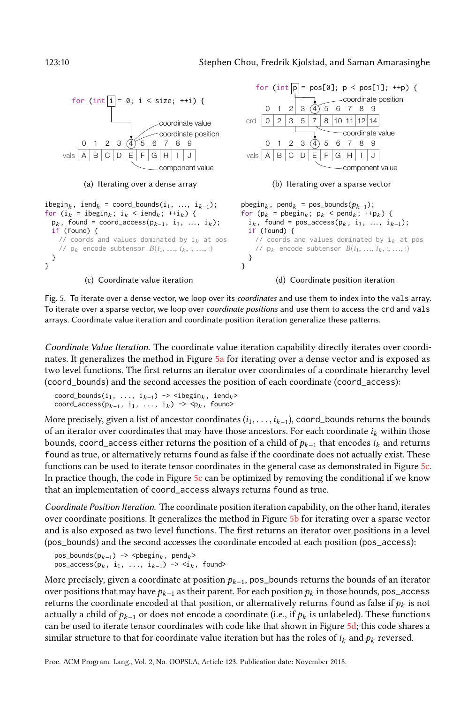#### 123:10 Stephen Chou, Fredrik Kjolstad, and Saman Amarasinghe

<span id="page-9-0"></span>

Fig. 5. To iterate over a dense vector, we loop over its coordinates and use them to index into the vals array. To iterate over a sparse vector, we loop over coordinate positions and use them to access the crd and vals arrays. Coordinate value iteration and coordinate position iteration generalize these patterns.

Coordinate Value Iteration. The coordinate value iteration capability directly iterates over coordinates. It generalizes the method in Figure [5a](#page-9-0) for iterating over a dense vector and is exposed as two level functions. The first returns an iterator over coordinates of a coordinate hierarchy level (coord\_bounds) and the second accesses the position of each coordinate (coord\_access):

coord\_bounds(i<sub>1</sub>, ..., i<sub>k-1</sub>) -> <ibegin<sub>k</sub>, iend<sub>k</sub>> coord\_access( $p_{k-1}$ , i<sub>1</sub>, ..., i<sub>k</sub>) -> <p<sub>k</sub>, found>

More precisely, given a list of ancestor coordinates ( $i_1, \ldots, i_{k-1}$ ), coord\_bounds returns the bounds of an iterator over coordinates that may have those ancestors. For each coordinate  $i_k$  within those bounds, coord\_access either returns the position of a child of  $p_{k-1}$  that encodes  $i_k$  and returns found as true, or alternatively returns found as false if the coordinate does not actually exist. These functions can be used to iterate tensor coordinates in the general case as demonstrated in Figure [5c.](#page-9-0) In practice though, the code in Figure [5c](#page-9-0) can be optimized by removing the conditional if we know that an implementation of coord\_access always returns found as true.

Coordinate Position Iteration. The coordinate position iteration capability, on the other hand, iterates over coordinate positions. It generalizes the method in Figure [5b](#page-9-0) for iterating over a sparse vector and is also exposed as two level functions. The first returns an iterator over positions in a level (pos\_bounds) and the second accesses the coordinate encoded at each position (pos\_access):

```
pos_bounds(p_{k-1}) -> <pbegin<sub>k</sub>, pend<sub>k</sub>>
pos_access(p<sub>k</sub>, i<sub>1</sub>, ..., i<sub>k−1</sub>) -> \langle i_k, found>
```
More precisely, given a coordinate at position  $p_{k-1}$ , pos\_bounds returns the bounds of an iterator over positions that may have  $p_{k-1}$  as their parent. For each position  $p_k$  in those bounds, pos\_access returns the coordinate encoded at that position, or alternatively returns found as false if  $p_k$  is not actually a child of  $p_{k-1}$  or does not encode a coordinate (i.e., if  $p_k$  is unlabeled). These functions can be used to iterate tensor coordinates with code like that shown in Figure [5d;](#page-9-0) this code shares a similar structure to that for coordinate value iteration but has the roles of  $i_k$  and  $p_k$  reversed.

Proc. ACM Program. Lang., Vol. 2, No. OOPSLA, Article 123. Publication date: November 2018.

}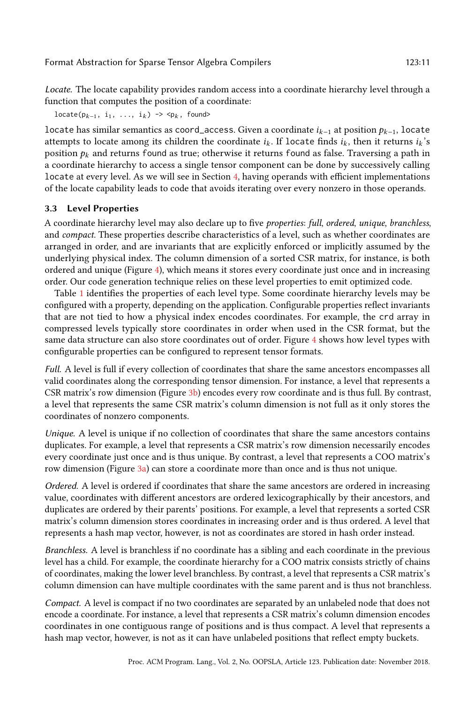Locate. The locate capability provides random access into a coordinate hierarchy level through a function that computes the position of a coordinate:

locate( $p_{k-1}$ , i<sub>1</sub>, ..., i<sub>k</sub>) -> <p<sub>k</sub>, found>

locate has similar semantics as coord\_access. Given a coordinate  $i_{k-1}$  at position  $p_{k-1}$ , locate attempts to locate among its children the coordinate  $i_k$ . If locate finds  $i_k$ , then it returns  $i_k$ 's position  $p_k$  and returns found as true; otherwise it returns found as false. Traversing a path in a coordinate hierarchy to access a single tensor component can be done by successively calling locate at every level. As we will see in Section [4,](#page-12-0) having operands with efficient implementations of the locate capability leads to code that avoids iterating over every nonzero in those operands.

# <span id="page-10-0"></span>3.3 Level Properties

A coordinate hierarchy level may also declare up to five properties: full, ordered, unique, branchless, and compact. These properties describe characteristics of a level, such as whether coordinates are arranged in order, and are invariants that are explicitly enforced or implicitly assumed by the underlying physical index. The column dimension of a sorted CSR matrix, for instance, is both ordered and unique (Figure [4\)](#page-7-0), which means it stores every coordinate just once and in increasing order. Our code generation technique relies on these level properties to emit optimized code.

Table [1](#page-7-1) identifies the properties of each level type. Some coordinate hierarchy levels may be configured with a property, depending on the application. Configurable properties reflect invariants that are not tied to how a physical index encodes coordinates. For example, the crd array in compressed levels typically store coordinates in order when used in the CSR format, but the same data structure can also store coordinates out of order. Figure [4](#page-7-0) shows how level types with configurable properties can be configured to represent tensor formats.

Full. A level is full if every collection of coordinates that share the same ancestors encompasses all valid coordinates along the corresponding tensor dimension. For instance, a level that represents a CSR matrix's row dimension (Figure [3b\)](#page-5-1) encodes every row coordinate and is thus full. By contrast, a level that represents the same CSR matrix's column dimension is not full as it only stores the coordinates of nonzero components.

Unique. A level is unique if no collection of coordinates that share the same ancestors contains duplicates. For example, a level that represents a CSR matrix's row dimension necessarily encodes every coordinate just once and is thus unique. By contrast, a level that represents a COO matrix's row dimension (Figure [3a\)](#page-5-1) can store a coordinate more than once and is thus not unique.

Ordered. A level is ordered if coordinates that share the same ancestors are ordered in increasing value, coordinates with different ancestors are ordered lexicographically by their ancestors, and duplicates are ordered by their parents' positions. For example, a level that represents a sorted CSR matrix's column dimension stores coordinates in increasing order and is thus ordered. A level that represents a hash map vector, however, is not as coordinates are stored in hash order instead.

Branchless. A level is branchless if no coordinate has a sibling and each coordinate in the previous level has a child. For example, the coordinate hierarchy for a COO matrix consists strictly of chains of coordinates, making the lower level branchless. By contrast, a level that represents a CSR matrix's column dimension can have multiple coordinates with the same parent and is thus not branchless.

Compact. A level is compact if no two coordinates are separated by an unlabeled node that does not encode a coordinate. For instance, a level that represents a CSR matrix's column dimension encodes coordinates in one contiguous range of positions and is thus compact. A level that represents a hash map vector, however, is not as it can have unlabeled positions that reflect empty buckets.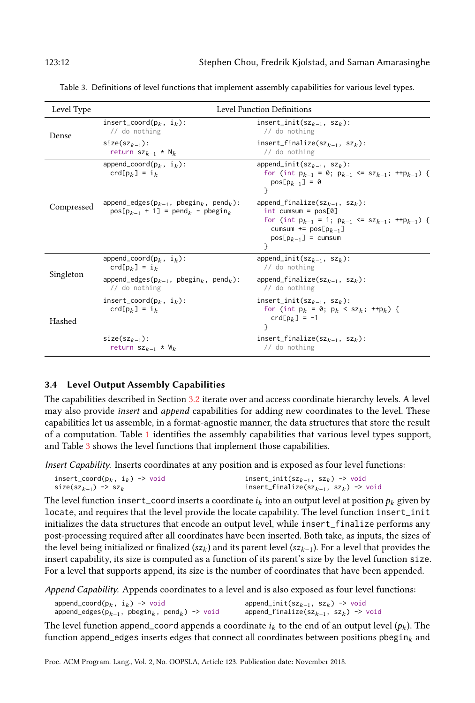| Level Type | Level Function Definitions                                                                 |                                                                                                                                                                                               |  |  |  |  |
|------------|--------------------------------------------------------------------------------------------|-----------------------------------------------------------------------------------------------------------------------------------------------------------------------------------------------|--|--|--|--|
| Dense      | insert_coord( $p_k$ , i <sub>k</sub> ):<br>// do nothing                                   | insert_init( $sz_{k-1}$ , $sz_k$ ):<br>// do nothing                                                                                                                                          |  |  |  |  |
|            | $size(sz_{k-1})$ :<br>return $sz_{k-1} * N_k$                                              | insert_finalize( $sz_{k-1}$ , $sz_k$ ):<br>// do nothing                                                                                                                                      |  |  |  |  |
|            | append_coord( $p_k$ , $i_k$ ):<br>$crd[p_k] = i_k$                                         | $append\_init(sz_{k-1}, sz_k):$<br>for (int $p_{k-1} = 0$ ; $p_{k-1} \leq sz_{k-1}$ ; $p_{k-1} \leq$<br>$pos[p_{k-1}] = 0$<br>ł                                                               |  |  |  |  |
| Compressed | $append\_edges(p_{k-1}, pbegin_{k}, pend_{k})$ :<br>$pos[p_{k-1} + 1] = pend_k - pbegin_k$ | $append\_finalize(sz_{k-1}, sz_k):$<br>int cumsum = $pos[0]$<br>for (int $p_{k-1} = 1$ ; $p_{k-1} \leq sz_{k-1}$ ; $+p_{k-1}$ ) {<br>cumsum += $pos[p_{k-1}]$<br>$pos[p_{k-1}] = cumsum$<br>ł |  |  |  |  |
|            | append_coord( $p_k$ , $i_k$ ):<br>$crd[p_k] = i_k$                                         | $append\_init(sz_{k-1}, sz_k):$<br>// do nothing                                                                                                                                              |  |  |  |  |
| Singleton  | append_edges( $p_{k-1}$ , pbegin <sub>k</sub> , pend <sub>k</sub> ):<br>// do nothing      | $append\_finalize(sz_{k-1}, sz_k):$<br>// do nothing                                                                                                                                          |  |  |  |  |
| Hashed     | insert_coord( $p_k$ , $i_k$ ):<br>$crd[p_k] = i_k$                                         | insert_init( $sz_{k-1}$ , $sz_k$ ):<br>for (int $p_k = 0$ ; $p_k < sz_k$ ; ++p <sub>k</sub> ) {<br>$crd[p_k] = -1$<br>ł                                                                       |  |  |  |  |
|            | $size(sz_{k-1})$ :<br>return $sz_{k-1} * W_k$                                              | insert_finalize( $sz_{k-1}$ , $sz_k$ ):<br>// do nothing                                                                                                                                      |  |  |  |  |

Table 3. Definitions of level functions that implement assembly capabilities for various level types.

#### <span id="page-11-0"></span>3.4 Level Output Assembly Capabilities

The capabilities described in Section [3.2](#page-8-1) iterate over and access coordinate hierarchy levels. A level may also provide *insert* and *append* capabilities for adding new coordinates to the level. These capabilities let us assemble, in a format-agnostic manner, the data structures that store the result of a computation. Table [1](#page-7-1) identifies the assembly capabilities that various level types support, and Table [3](#page-11-0) shows the level functions that implement those capabilities.

Insert Capability. Inserts coordinates at any position and is exposed as four level functions:

| insert_coord( $p_k$ , i <sub>k</sub> ) -> void | insert_init(sz <sub>k-1</sub> , sz <sub>k</sub> ) -> void     |
|------------------------------------------------|---------------------------------------------------------------|
| $size(sz_{k-1}) \rightarrow sz_k$              | insert_finalize(sz <sub>k-1</sub> , sz <sub>k</sub> ) -> void |

The level function insert\_coord inserts a coordinate  $i_k$  into an output level at position  $p_k$  given by locate, and requires that the level provide the locate capability. The level function insert\_init initializes the data structures that encode an output level, while insert\_finalize performs any post-processing required after all coordinates have been inserted. Both take, as inputs, the sizes of the level being initialized or finalized (sz<sub>k</sub>) and its parent level (sz<sub>k−1</sub>). For a level that provides the insert capability, its size is computed as a function of its parent's size by the level function size. For a level that supports append, its size is the number of coordinates that have been appended.

Append Capability. Appends coordinates to a level and is also exposed as four level functions:

| append_coord( $p_k$ , $i_k$ ) -> void                                       | append_init( $sz_{k-1}$ , $sz_k$ ) -> void     |
|-----------------------------------------------------------------------------|------------------------------------------------|
| append_edges( $p_{k-1}$ , pbegin <sub>k</sub> , pend <sub>k</sub> ) -> void | append_finalize( $sz_{k-1}$ , $sz_k$ ) -> void |

The level function append\_coord appends a coordinate  $i_k$  to the end of an output level  $(p_k)$ . The function append\_edges inserts edges that connect all coordinates between positions pbegin<sub>k</sub> and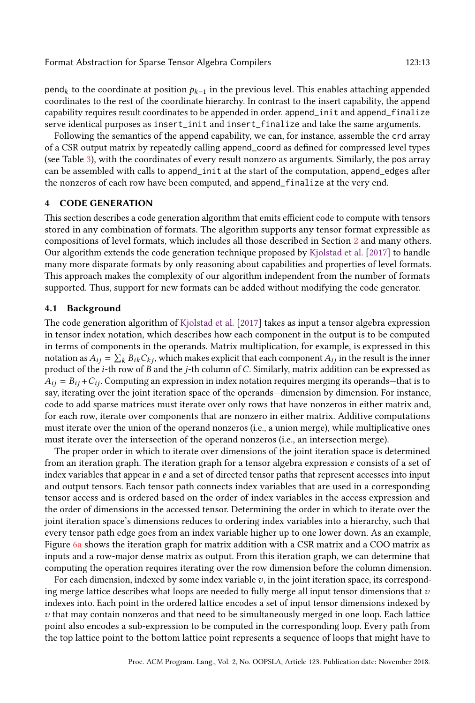pend<sub>k</sub> to the coordinate at position  $p_{k-1}$  in the previous level. This enables attaching appended coordinates to the rest of the coordinate hierarchy. In contrast to the insert capability, the append capability requires result coordinates to be appended in order. append\_init and append\_finalize serve identical purposes as insert\_init and insert\_finalize and take the same arguments.

Following the semantics of the append capability, we can, for instance, assemble the crd array of a CSR output matrix by repeatedly calling append\_coord as defined for compressed level types (see Table [3\)](#page-11-0), with the coordinates of every result nonzero as arguments. Similarly, the pos array can be assembled with calls to append\_init at the start of the computation, append\_edges after the nonzeros of each row have been computed, and append\_finalize at the very end.

# <span id="page-12-0"></span>4 CODE GENERATION

This section describes a code generation algorithm that emits efficient code to compute with tensors stored in any combination of formats. The algorithm supports any tensor format expressible as compositions of level formats, which includes all those described in Section [2](#page-2-0) and many others. Our algorithm extends the code generation technique proposed by [Kjolstad et al.](#page-28-1) [\[2017\]](#page-28-1) to handle many more disparate formats by only reasoning about capabilities and properties of level formats. This approach makes the complexity of our algorithm independent from the number of formats supported. Thus, support for new formats can be added without modifying the code generator.

# 4.1 Background

The code generation algorithm of [Kjolstad et al.](#page-28-1) [\[2017\]](#page-28-1) takes as input a tensor algebra expression in tensor index notation, which describes how each component in the output is to be computed in terms of components in the operands. Matrix multiplication, for example, is expressed in this notation as  $A_{ij} = \sum_k B_{ik} C_{kj}$ , which makes explicit that each component  $A_{ij}$  in the result is the inner product of the i-th row of B and the j-th column of C. Similarly, matrix addition can be expressed as  $A_{ij} = B_{ij} + C_{ij}$ . Computing an expression in index notation requires merging its operands—that is to say, iterating over the joint iteration space of the operands–dimension by dimension. For instance, code to add sparse matrices must iterate over only rows that have nonzeros in either matrix and, for each row, iterate over components that are nonzero in either matrix. Additive computations must iterate over the union of the operand nonzeros (i.e., a union merge), while multiplicative ones must iterate over the intersection of the operand nonzeros (i.e., an intersection merge).

The proper order in which to iterate over dimensions of the joint iteration space is determined from an iteration graph. The iteration graph for a tensor algebra expression e consists of a set of index variables that appear in  $e$  and a set of directed tensor paths that represent accesses into input and output tensors. Each tensor path connects index variables that are used in a corresponding tensor access and is ordered based on the order of index variables in the access expression and the order of dimensions in the accessed tensor. Determining the order in which to iterate over the joint iteration space's dimensions reduces to ordering index variables into a hierarchy, such that every tensor path edge goes from an index variable higher up to one lower down. As an example, Figure [6a](#page-13-0) shows the iteration graph for matrix addition with a CSR matrix and a COO matrix as inputs and a row-major dense matrix as output. From this iteration graph, we can determine that computing the operation requires iterating over the row dimension before the column dimension.

For each dimension, indexed by some index variable  $v$ , in the joint iteration space, its corresponding merge lattice describes what loops are needed to fully merge all input tensor dimensions that  $v$ indexes into. Each point in the ordered lattice encodes a set of input tensor dimensions indexed by  $v$  that may contain nonzeros and that need to be simultaneously merged in one loop. Each lattice point also encodes a sub-expression to be computed in the corresponding loop. Every path from the top lattice point to the bottom lattice point represents a sequence of loops that might have to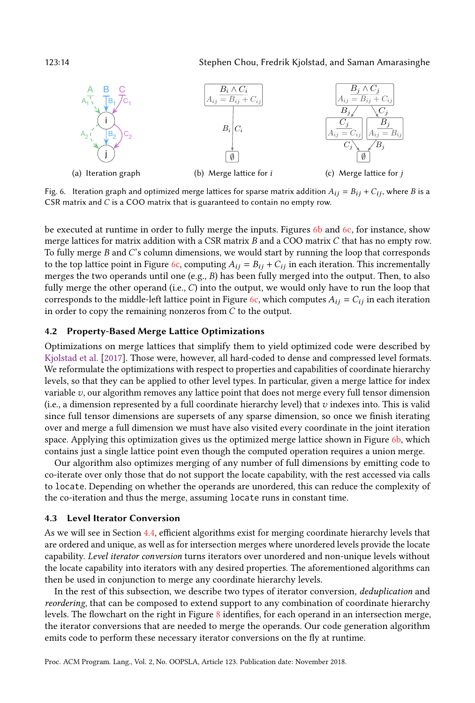<span id="page-13-0"></span>

Fig. 6. Iteration graph and optimized merge lattices for sparse matrix addition  $A_{ij} = B_{ij} + C_{ij}$ , where B is a CSR matrix and C is a COO matrix that is guaranteed to contain no empty row.

be executed at runtime in order to fully merge the inputs. Figures [6b](#page-13-0) and [6c,](#page-13-0) for instance, show merge lattices for matrix addition with a CSR matrix B and a COO matrix C that has no empty row. To fully merge  $B$  and  $C$ 's column dimensions, we would start by running the loop that corresponds to the top lattice point in Figure [6c,](#page-13-0) computing  $A_{ij} = B_{ij} + C_{ij}$  in each iteration. This incrementally merges the two operands until one  $(e.g., B)$  has been fully merged into the output. Then, to also fully merge the other operand (i.e., C) into the output, we would only have to run the loop that corresponds to the middle-left lattice point in Figure [6c,](#page-13-0) which computes  $A_{ij} = C_{ij}$  in each iteration in order to copy the remaining nonzeros from C to the output.

# <span id="page-13-2"></span>4.2 Property-Based Merge Lattice Optimizations

Optimizations on merge lattices that simplify them to yield optimized code were described by [Kjolstad et al.](#page-28-1) [\[2017\]](#page-28-1). Those were, however, all hard-coded to dense and compressed level formats. We reformulate the optimizations with respect to properties and capabilities of coordinate hierarchy levels, so that they can be applied to other level types. In particular, given a merge lattice for index variable  $v$ , our algorithm removes any lattice point that does not merge every full tensor dimension (i.e., a dimension represented by a full coordinate hierarchy level) that  $v$  indexes into. This is valid since full tensor dimensions are supersets of any sparse dimension, so once we finish iterating over and merge a full dimension we must have also visited every coordinate in the joint iteration space. Applying this optimization gives us the optimized merge lattice shown in Figure  $6b$ , which contains just a single lattice point even though the computed operation requires a union merge.

Our algorithm also optimizes merging of any number of full dimensions by emitting code to co-iterate over only those that do not support the locate capability, with the rest accessed via calls to locate. Depending on whether the operands are unordered, this can reduce the complexity of the co-iteration and thus the merge, assuming locate runs in constant time.

#### <span id="page-13-1"></span>4.3 Level Iterator Conversion

As we will see in Section [4.4,](#page-14-0) efficient algorithms exist for merging coordinate hierarchy levels that are ordered and unique, as well as for intersection merges where unordered levels provide the locate capability. Level iterator conversion turns iterators over unordered and non-unique levels without the locate capability into iterators with any desired properties. The aforementioned algorithms can then be used in conjunction to merge any coordinate hierarchy levels.

In the rest of this subsection, we describe two types of iterator conversion, deduplication and reordering, that can be composed to extend support to any combination of coordinate hierarchy levels. The flowchart on the right in Figure [8](#page-15-0) identifies, for each operand in an intersection merge, the iterator conversions that are needed to merge the operands. Our code generation algorithm emits code to perform these necessary iterator conversions on the fly at runtime.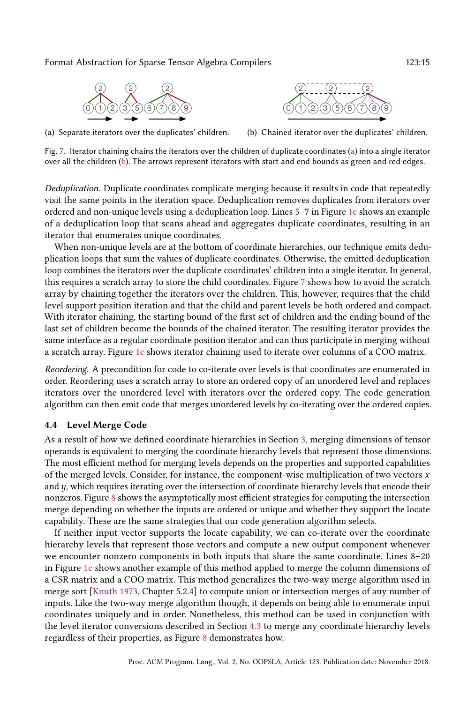<span id="page-14-1"></span>



(a) Separate iterators over the duplicates' children. (b) Chained iterator over the duplicates' children.

Fig. 7. Iterator chaining chains the iterators over the children of duplicate coordinates [\(a\)](#page-14-1) into a single iterator over all the children [\(b\)](#page-14-1). The arrows represent iterators with start and end bounds as green and red edges.

Deduplication. Duplicate coordinates complicate merging because it results in code that repeatedly visit the same points in the iteration space. Deduplication removes duplicates from iterators over ordered and non-unique levels using a deduplication loop. Lines 5–7 in Figure [1c](#page-1-0) shows an example of a deduplication loop that scans ahead and aggregates duplicate coordinates, resulting in an iterator that enumerates unique coordinates.

When non-unique levels are at the bottom of coordinate hierarchies, our technique emits deduplication loops that sum the values of duplicate coordinates. Otherwise, the emitted deduplication loop combines the iterators over the duplicate coordinates' children into a single iterator. In general, this requires a scratch array to store the child coordinates. Figure [7](#page-14-1) shows how to avoid the scratch array by chaining together the iterators over the children. This, however, requires that the child level support position iteration and that the child and parent levels be both ordered and compact. With iterator chaining, the starting bound of the first set of children and the ending bound of the last set of children become the bounds of the chained iterator. The resulting iterator provides the same interface as a regular coordinate position iterator and can thus participate in merging without a scratch array. Figure [1c](#page-1-0) shows iterator chaining used to iterate over columns of a COO matrix.

Reordering. A precondition for code to co-iterate over levels is that coordinates are enumerated in order. Reordering uses a scratch array to store an ordered copy of an unordered level and replaces iterators over the unordered level with iterators over the ordered copy. The code generation algorithm can then emit code that merges unordered levels by co-iterating over the ordered copies.

## <span id="page-14-0"></span>4.4 Level Merge Code

As a result of how we defined coordinate hierarchies in Section [3,](#page-5-0) merging dimensions of tensor operands is equivalent to merging the coordinate hierarchy levels that represent those dimensions. The most efficient method for merging levels depends on the properties and supported capabilities of the merged levels. Consider, for instance, the component-wise multiplication of two vectors  $x$ and y, which requires iterating over the intersection of coordinate hierarchy levels that encode their nonzeros. Figure [8](#page-15-0) shows the asymptotically most efficient strategies for computing the intersection merge depending on whether the inputs are ordered or unique and whether they support the locate capability. These are the same strategies that our code generation algorithm selects.

If neither input vector supports the locate capability, we can co-iterate over the coordinate hierarchy levels that represent those vectors and compute a new output component whenever we encounter nonzero components in both inputs that share the same coordinate. Lines 8–20 in Figure [1c](#page-1-0) shows another example of this method applied to merge the column dimensions of a CSR matrix and a COO matrix. This method generalizes the two-way merge algorithm used in merge sort [\[Knuth 1973,](#page-28-7) Chapter 5.2.4] to compute union or intersection merges of any number of inputs. Like the two-way merge algorithm though, it depends on being able to enumerate input coordinates uniquely and in order. Nonetheless, this method can be used in conjunction with the level iterator conversions described in Section [4.3](#page-13-1) to merge any coordinate hierarchy levels regardless of their properties, as Figure [8](#page-15-0) demonstrates how.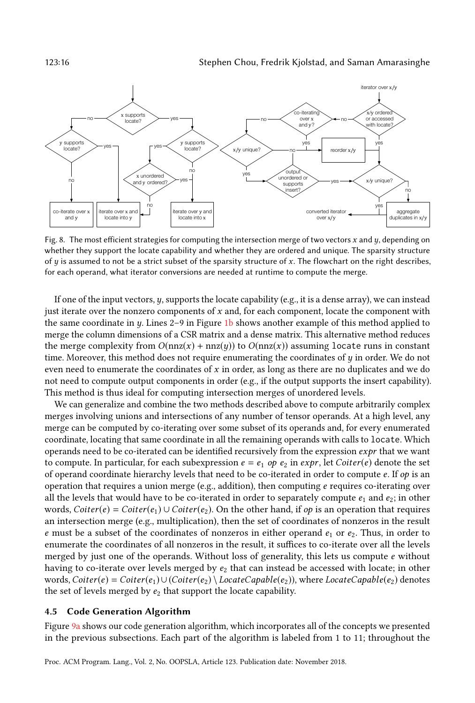<span id="page-15-0"></span>

Fig. 8. The most efficient strategies for computing the intersection merge of two vectors  $x$  and  $y$ , depending on whether they support the locate capability and whether they are ordered and unique. The sparsity structure of  $y$  is assumed to not be a strict subset of the sparsity structure of x. The flowchart on the right describes, for each operand, what iterator conversions are needed at runtime to compute the merge.

If one of the input vectors,  $y$ , supports the locate capability (e.g., it is a dense array), we can instead just iterate over the nonzero components of  $x$  and, for each component, locate the component with the same coordinate in y. Lines 2–9 in Figure [1b](#page-1-0) shows another example of this method applied to merge the column dimensions of a CSR matrix and a dense matrix. This alternative method reduces the merge complexity from  $O(nnz(x) + nnz(y))$  to  $O(nnz(x))$  assuming locate runs in constant time. Moreover, this method does not require enumerating the coordinates of y in order. We do not even need to enumerate the coordinates of  $x$  in order, as long as there are no duplicates and we do not need to compute output components in order (e.g., if the output supports the insert capability). This method is thus ideal for computing intersection merges of unordered levels.

We can generalize and combine the two methods described above to compute arbitrarily complex merges involving unions and intersections of any number of tensor operands. At a high level, any merge can be computed by co-iterating over some subset of its operands and, for every enumerated coordinate, locating that same coordinate in all the remaining operands with calls to locate. Which operands need to be co-iterated can be identified recursively from the expression  $\exp r$  that we want to compute. In particular, for each subexpression  $e = e_1$  op  $e_2$  in expr, let Coiter(e) denote the set of operand coordinate hierarchy levels that need to be co-iterated in order to compute  $e$ . If  $op$  is an operation that requires a union merge (e.g., addition), then computing  $e$  requires co-iterating over all the levels that would have to be co-iterated in order to separately compute  $e_1$  and  $e_2$ ; in other words,  $Cotter(e) = Cotter(e_1) \cup Cotter(e_2)$ . On the other hand, if op is an operation that requires an intersection merge (e.g., multiplication), then the set of coordinates of nonzeros in the result e must be a subset of the coordinates of nonzeros in either operand  $e_1$  or  $e_2$ . Thus, in order to enumerate the coordinates of all nonzeros in the result, it suffices to co-iterate over all the levels merged by just one of the operands. Without loss of generality, this lets us compute e without having to co-iterate over levels merged by  $e_2$  that can instead be accessed with locate; in other words,  $Coiter(e) = Coiter(e_1) \cup (Coiter(e_2) \setminus LocateCapable(e_2))$ , where  $LocateCapable(e_2)$  denotes the set of levels merged by  $e_2$  that support the locate capability.

## 4.5 Code Generation Algorithm

Figure [9a](#page-16-0) shows our code generation algorithm, which incorporates all of the concepts we presented in the previous subsections. Each part of the algorithm is labeled from 1 to 11; throughout the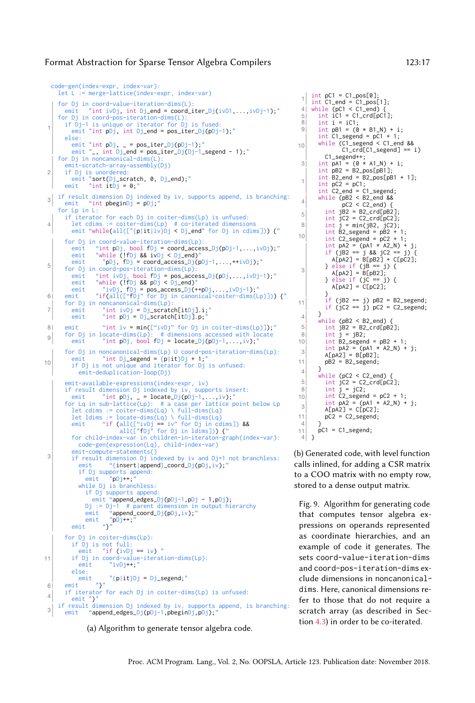```
code-gen(index-expr, index-var):
       let L := merge-lattice(index-expr, index-var)
      for Di in coord-value-iteration-dims(L):
        emit "int ivDj, int Dj_end = coord_iter_Dj(ivD1,...,ivDj-1);"
   for Dj in coord-pos-iteration-dims(L):<br>
if Dj-1 is unique or iterator for Dj is fused:<br>
emit "int pDj, int Dj_end = pos_iter_Dj(pDj-1);"
          else:
   emit "int pDj, _ = pos_iter_Dj(pDj-1);"<br>| emit "_, int Dj_end = pos_iter_Dj(Dj-1_segend - 1);"
     for Dj in noncanonical-dims(L)
          emit-scratch-array-assembly(Dj)
         if Dj is unordered:
   emit "sort(Dj_scratch, 0, Dj_end);"<br>emit "int itDj = 0;"
 _3 if result dimension Dj indexed by iv, supports append, is branching:
         emit "int pbegin\overrightarrow{Dj} = pDj;"
      for Lp in L:
         if iterator for each Dj in coiter-dims(Lp) is unfused:
    let cdims := coiter-dims(Lp) # co-iterated dimensions
 emit "while(all(["{p|it|iv}Dj < Dj_end" for Dj in cdims])) {"
         for Dj in coord-value-iteration-dims(Lp):<br>emit "int pDi, bool fDi = coord acces
            emit "int pDj, bool fDj = coord_access_Dj(pDj-1,...,ivDj);"<br>emit "while (!fDj && ivDj < Dj_end)"
            emit "while (\text{ifDj 8& ivDj < Dj-end})'<br>emit "pDi. fDi = coord access Di(r
                          "pDj, fDj = coord_access_Dj(pDj-1,...,++ivDj);"
        for Dj in coord-pos-iteration-dims(L_p)<br>emit "int ivDj, bool fDj = pos_acc
   emit "int ivDj, bool fDj = pos_access_Dj(pDj,...,ivDj-1);"<br>emit "while (!fDj && pDj < Dj_end)"<br>emit "ivDj, fDj = pos_access_Dj(++pDj,...,ivDj-1);"<br>emit "if(all(["fDj" for Dj in canonical-coiter-dims(Lp)])) {"
         for Dj in noncanonical-dims(Lp)<br>emit "int ivDi = Di scrat
                          \frac{1}{\pi} "int ivDj = Dj_scratch[itDj].i;"
            emit "int pDj = Dj_scratch[itDj].p;
         emit "int iv = min([\n  "i\nu Dj" for Dj in coiter-dims(Lp));"<br>for Dj in locate-dims(Lp): # dimensions accessed with locate
    for Dj in locate-dims(Lp): # dimensions accessed with locate
 emit "int pDj, bool fDj = locate_Dj(pDj-1,...,iv);"
    for Dj in noncanonical-dims(Lp) U coord-pos-iteration-dims(Lp):
 emit "int Dj_segend = {p|it}Dj + 1;"
 if Dj is not unique and iterator for Dj is unfused:
               emit-deduplication-loop(Dj)
          emit-available-expressions(index-expr, iv)
   if result dimension Dj indexed by iv, supports insert:<br>
emit "int pDj, _= locate_Dj(pDj-1,...,iv);"<br>
for Lq in sub-lattice(Lp): # a case per lattice point below Lp<br>
let cdims := coiter-dims(Lq) \full-dims(Lq)<br>
let ldims :
             for child-index-var in children-in-iteraton-graph(index-var):
                code-gen(expression(Lq), child-index-var)
             emit-compute-statements()
             if result dimension Dj indexed by iv and Dj+1 not branchless:
               emit "{insert|append}_coord_Dj(pDj,iv);"
    if Dj supports append:
 emit "pDj++;"
 while Dj is branchless:
    if Dj supports append:
 emit "append_edges_Dj(pDj-1,pDj - 1,pDj);
 Dj := Dj-1 # parent dimension in output hierarchy
   emit "append_coord_Dj(pDj,iv);"<br>
emit "pDj++;"<br>
emit "}"
          for Dj in coiter-dims(Lp):
             if Dj is not full:
   emit "if (ivDj == iv) "<br>if Dj in coord-value-iteration-dims(Lp):
              emit "ivDj++;"
             else:
    emit "{p|it}Dj = Dj_segend;"
 emit "}"
         if iterator for each Dj in coiter-dims(Lp) is unfused:
             emit "}"
     if result dimension Dj indexed by iv, supports append, is branching:<br>emit "append_edges_Dj(pDj-1.pbeginDj.pDj):"
                   "append_edges_Dj(pDj-1,pbeginD}Dj,pDj);"
 1
 \circ4
 5
 3
11
 6
 7
 8
 9
10
 6
 4
 3
```

```
\frac{1}{1} int pC1 = C1_pos[0];
| int C1_end = C1_pos[1];<br>4| while (pC1 < C1_end) {<br>5| int iC1 = C1_crd[pC1];
      int i = iC1;
 int pB1 = (0 * B1_N) + i;
        int C1_segend = pC1 + 1;
        while (C1_segend < C1_end && 
                   C1_c\ncrd[C1_segend] == i) C1_segend++;
      int pA1 = (0 * A1_N) + i;
 int pB2 = B2_pos[pB1];
 int B2_end = B2_pos[pB1 + 1];
      int pC2 = pC1;
 int C2_end = C1_segend;
 while (pB2 < B2_end && 
      pC2 < C2_end) {
 int jB2 = B2_crd[pB2];
 int jC2 = C2_crd[pC2];
      int j = min(jB2, jC2);
 int B2_segend = pB2 + 1;
           int C2 segend = pC2 + 1;
      int pA2 = (pA1 * A2_N) + j;
 if (jB2 == j && jC2 == j) {
 A[pA2] = B[pB2] + C[pC2];
      } else if (jB == j) {
 A[pA2] = B[pB2];
 } else if (jC == j) {
              A[pA2] = C[pC2]; }
 if (jB2 == j) pB2 = B2_segend;
 if (jC2 == j) pC2 = C2_segend;
        }
        while (pB2 < B2<sub>end</sub>) {
           int jB2 = B2_ccrd[pB2];int \tilde{j} = jB2;
           int \overrightarrow{B2}-segend = pB2 + 1;
      int pA2 = (pA1 * A2_N) + j;
 A[pA2] = B[pB2];
           pB2 = B2_segend;
      }
     while (pC2 < C2_end) {<br>int jC2 = C2_crd[pC2];
      int j = jC2;
 int C2_segend = pC2 + 1;
 int pA2 = (pA1 * A2_N) + j;
           A[pA2] = C[pC2];pC2 = C2_segend;
        }
       pC1 = C1_segend;
```
(b) Generated code, with level function calls inlined, for adding a CSR matrix to a COO matrix with no empty row, stored to a dense output matrix.

} 4

9

10 3

8

1

4 5 8

 $10$ 

11 4

3

5 8

10 3

4

11 4 11

10 3

11 5 8

Fig. 9. Algorithm for generating code that computes tensor algebra expressions on operands represented as coordinate hierarchies, and an example of code it generates. The sets coord-value-iteration-dims and coord-pos-iteration-dims exclude dimensions in noncanonicaldims. Here, canonical dimensions refer to those that do not require a scratch array (as described in Section [4.3\)](#page-13-1) in order to be co-iterated.

<sup>(</sup>a) Algorithm to generate tensor algebra code.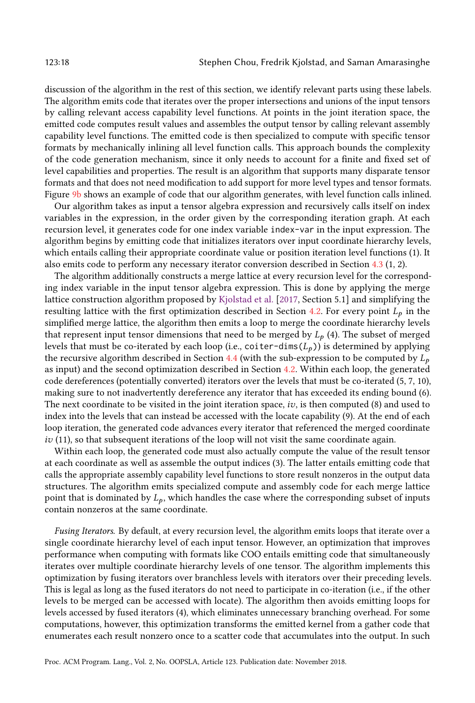discussion of the algorithm in the rest of this section, we identify relevant parts using these labels. The algorithm emits code that iterates over the proper intersections and unions of the input tensors by calling relevant access capability level functions. At points in the joint iteration space, the emitted code computes result values and assembles the output tensor by calling relevant assembly capability level functions. The emitted code is then specialized to compute with specific tensor formats by mechanically inlining all level function calls. This approach bounds the complexity of the code generation mechanism, since it only needs to account for a finite and fixed set of level capabilities and properties. The result is an algorithm that supports many disparate tensor formats and that does not need modification to add support for more level types and tensor formats. Figure [9b](#page-16-0) shows an example of code that our algorithm generates, with level function calls inlined.

Our algorithm takes as input a tensor algebra expression and recursively calls itself on index variables in the expression, in the order given by the corresponding iteration graph. At each recursion level, it generates code for one index variable index-var in the input expression. The algorithm begins by emitting code that initializes iterators over input coordinate hierarchy levels, which entails calling their appropriate coordinate value or position iteration level functions (1). It also emits code to perform any necessary iterator conversion described in Section [4.3](#page-13-1) (1, 2).

The algorithm additionally constructs a merge lattice at every recursion level for the corresponding index variable in the input tensor algebra expression. This is done by applying the merge lattice construction algorithm proposed by [Kjolstad et al.](#page-28-1) [\[2017,](#page-28-1) Section 5.1] and simplifying the resulting lattice with the first optimization described in Section [4.2.](#page-13-2) For every point  $L_p$  in the simplified merge lattice, the algorithm then emits a loop to merge the coordinate hierarchy levels that represent input tensor dimensions that need to be merged by  $L_p$  (4). The subset of merged levels that must be co-iterated by each loop (i.e., coiter-dims( $L_p$ )) is determined by applying the recursive algorithm described in Section [4.4](#page-14-0) (with the sub-expression to be computed by  $L_p$ as input) and the second optimization described in Section [4.2.](#page-13-2) Within each loop, the generated code dereferences (potentially converted) iterators over the levels that must be co-iterated (5, 7, 10), making sure to not inadvertently dereference any iterator that has exceeded its ending bound (6). The next coordinate to be visited in the joint iteration space, iv, is then computed  $(8)$  and used to index into the levels that can instead be accessed with the locate capability (9). At the end of each loop iteration, the generated code advances every iterator that referenced the merged coordinate  $iv$  (11), so that subsequent iterations of the loop will not visit the same coordinate again.

Within each loop, the generated code must also actually compute the value of the result tensor at each coordinate as well as assemble the output indices (3). The latter entails emitting code that calls the appropriate assembly capability level functions to store result nonzeros in the output data structures. The algorithm emits specialized compute and assembly code for each merge lattice point that is dominated by  $L_p$ , which handles the case where the corresponding subset of inputs contain nonzeros at the same coordinate.

Fusing Iterators. By default, at every recursion level, the algorithm emits loops that iterate over a single coordinate hierarchy level of each input tensor. However, an optimization that improves performance when computing with formats like COO entails emitting code that simultaneously iterates over multiple coordinate hierarchy levels of one tensor. The algorithm implements this optimization by fusing iterators over branchless levels with iterators over their preceding levels. This is legal as long as the fused iterators do not need to participate in co-iteration (i.e., if the other levels to be merged can be accessed with locate). The algorithm then avoids emitting loops for levels accessed by fused iterators (4), which eliminates unnecessary branching overhead. For some computations, however, this optimization transforms the emitted kernel from a gather code that enumerates each result nonzero once to a scatter code that accumulates into the output. In such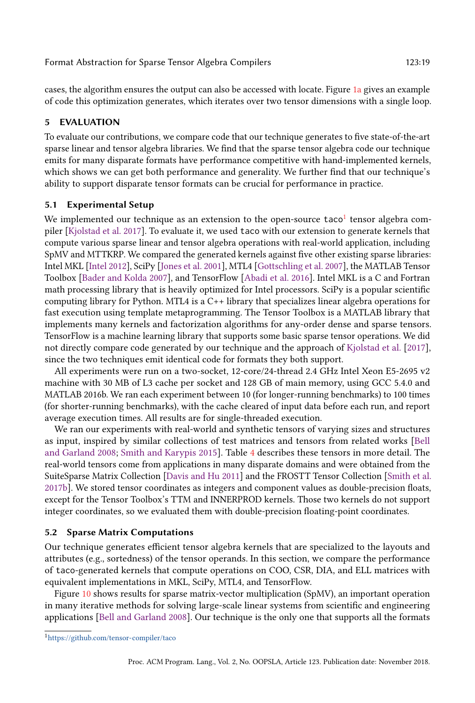cases, the algorithm ensures the output can also be accessed with locate. Figure [1a](#page-1-0) gives an example of code this optimization generates, which iterates over two tensor dimensions with a single loop.

# <span id="page-18-0"></span>5 EVALUATION

To evaluate our contributions, we compare code that our technique generates to five state-of-the-art sparse linear and tensor algebra libraries. We find that the sparse tensor algebra code our technique emits for many disparate formats have performance competitive with hand-implemented kernels, which shows we can get both performance and generality. We further find that our technique's ability to support disparate tensor formats can be crucial for performance in practice.

# 5.1 Experimental Setup

We implemented our technique as an extension to the open-source  $\text{taco}^1$  $\text{taco}^1$  tensor algebra compiler [\[Kjolstad et al.](#page-28-1) [2017\]](#page-28-1). To evaluate it, we used taco with our extension to generate kernels that compute various sparse linear and tensor algebra operations with real-world application, including SpMV and MTTKRP. We compared the generated kernels against five other existing sparse libraries: Intel MKL [\[Intel 2012\]](#page-27-9), SciPy [\[Jones et al.](#page-27-10) [2001\]](#page-27-10), MTL4 [\[Gottschling et al.](#page-27-11) [2007\]](#page-27-11), the MATLAB Tensor Toolbox [\[Bader and Kolda 2007\]](#page-27-3), and TensorFlow [\[Abadi et al.](#page-27-0) [2016\]](#page-27-0). Intel MKL is a C and Fortran math processing library that is heavily optimized for Intel processors. SciPy is a popular scientific computing library for Python. MTL4 is a C++ library that specializes linear algebra operations for fast execution using template metaprogramming. The Tensor Toolbox is a MATLAB library that implements many kernels and factorization algorithms for any-order dense and sparse tensors. TensorFlow is a machine learning library that supports some basic sparse tensor operations. We did not directly compare code generated by our technique and the approach of [Kjolstad et al.](#page-28-1) [\[2017\]](#page-28-1), since the two techniques emit identical code for formats they both support.

All experiments were run on a two-socket, 12-core/24-thread 2.4 GHz Intel Xeon E5-2695 v2 machine with 30 MB of L3 cache per socket and 128 GB of main memory, using GCC 5.4.0 and MATLAB 2016b. We ran each experiment between 10 (for longer-running benchmarks) to 100 times (for shorter-running benchmarks), with the cache cleared of input data before each run, and report average execution times. All results are for single-threaded execution.

We ran our experiments with real-world and synthetic tensors of varying sizes and structures as input, inspired by similar collections of test matrices and tensors from related works [\[Bell](#page-27-12) [and Garland 2008;](#page-27-12) [Smith and Karypis 2015\]](#page-28-4). Table [4](#page-19-0) describes these tensors in more detail. The real-world tensors come from applications in many disparate domains and were obtained from the SuiteSparse Matrix Collection [\[Davis and Hu 2011\]](#page-27-13) and the FROSTT Tensor Collection [\[Smith et al.](#page-28-8) [2017b\]](#page-28-8). We stored tensor coordinates as integers and component values as double-precision floats, except for the Tensor Toolbox's TTM and INNERPROD kernels. Those two kernels do not support integer coordinates, so we evaluated them with double-precision floating-point coordinates.

# 5.2 Sparse Matrix Computations

Our technique generates efficient tensor algebra kernels that are specialized to the layouts and attributes (e.g., sortedness) of the tensor operands. In this section, we compare the performance of taco-generated kernels that compute operations on COO, CSR, DIA, and ELL matrices with equivalent implementations in MKL, SciPy, MTL4, and TensorFlow.

Figure [10](#page-20-0) shows results for sparse matrix-vector multiplication (SpMV), an important operation in many iterative methods for solving large-scale linear systems from scientific and engineering applications [\[Bell and Garland 2008\]](#page-27-12). Our technique is the only one that supports all the formats

<span id="page-18-1"></span><sup>1</sup><https://github.com/tensor-compiler/taco>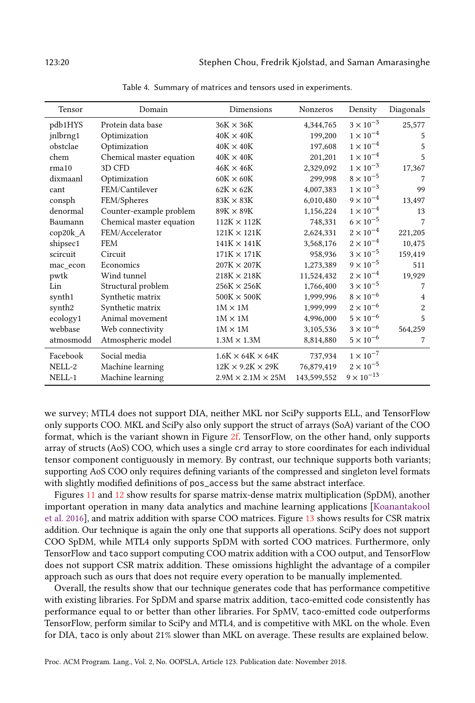<span id="page-19-0"></span>

| Tensor     | Domain                   | Dimensions                    | Nonzeros    | Density             | Diagonals      |
|------------|--------------------------|-------------------------------|-------------|---------------------|----------------|
| pdb1HYS    | Protein data base        | $36K \times 36K$              | 4,344,765   | $3 \times 10^{-3}$  | 25,577         |
| jnlbrng1   | Optimization             | $40K \times 40K$              | 199,200     | $1 \times 10^{-4}$  | 5              |
| obstclae   | Optimization             | $40K \times 40K$              | 197,608     | $1 \times 10^{-4}$  | 5              |
| chem       | Chemical master equation | $40K \times 40K$              | 201,201     | $1 \times 10^{-4}$  | 5              |
| rma10      | 3D CFD                   | $46K \times 46K$              | 2.329.092   | $1 \times 10^{-3}$  | 17,367         |
| dixmaanl   | Optimization             | $60K \times 60K$              | 299,998     | $8 \times 10^{-5}$  | 7              |
| cant       | FEM/Cantilever           | $62K \times 62K$              | 4,007,383   | $1 \times 10^{-3}$  | 99             |
| consph     | FEM/Spheres              | $83K \times 83K$              | 6,010,480   | $9\times10^{-4}$    | 13,497         |
| denormal   | Counter-example problem  | $89K \times 89K$              | 1,156,224   | $1\times10^{-4}$    | 13             |
| Baumann    | Chemical master equation | $112K \times 112K$            | 748,331     | $6 \times 10^{-5}$  | 7              |
| $cop20k_A$ | FEM/Accelerator          | $121K \times 121K$            | 2,624,331   | $2 \times 10^{-4}$  | 221,205        |
| shipsec1   | <b>FEM</b>               | $141K \times 141K$            | 3,568,176   | $2 \times 10^{-4}$  | 10,475         |
| scircuit   | Circuit                  | $171K \times 171K$            | 958,936     | $3 \times 10^{-5}$  | 159,419        |
| mac econ   | Economics                | $207K \times 207K$            | 1,273,389   | $9 \times 10^{-5}$  | 511            |
| pwtk       | Wind tunnel              | $218K \times 218K$            | 11,524,432  | $2 \times 10^{-4}$  | 19,929         |
| Lin        | Structural problem       | $256K \times 256K$            | 1,766,400   | $3 \times 10^{-5}$  | 7              |
| synth1     | Synthetic matrix         | $500K \times 500K$            | 1,999,996   | $8 \times 10^{-6}$  | $\overline{4}$ |
| synth2     | Synthetic matrix         | $1M \times 1M$                | 1,999,999   | $2 \times 10^{-6}$  | $\overline{2}$ |
| ecology1   | Animal movement          | $1M \times 1M$                | 4,996,000   | $5 \times 10^{-6}$  | 5              |
| webbase    | Web connectivity         | $1M \times 1M$                | 3,105,536   | $3 \times 10^{-6}$  | 564,259        |
| atmosmodd  | Atmospheric model        | $1.3M \times 1.3M$            | 8,814,880   | $5 \times 10^{-6}$  | 7              |
| Facebook   | Social media             | $1.6K \times 64K \times 64K$  | 737,934     | $1\times10^{-7}$    |                |
| NELL-2     | Machine learning         | $12K \times 9.2K \times 29K$  | 76,879,419  | $2 \times 10^{-5}$  |                |
| NELL-1     | Machine learning         | $2.9M \times 2.1M \times 25M$ | 143,599,552 | $9 \times 10^{-13}$ |                |

Table 4. Summary of matrices and tensors used in experiments.

we survey; MTL4 does not support DIA, neither MKL nor SciPy supports ELL, and TensorFlow only supports COO. MKL and SciPy also only support the struct of arrays (SoA) variant of the COO format, which is the variant shown in Figure [2f.](#page-3-0) TensorFlow, on the other hand, only supports array of structs (AoS) COO, which uses a single crd array to store coordinates for each individual tensor component contiguously in memory. By contrast, our technique supports both variants; supporting AoS COO only requires defining variants of the compressed and singleton level formats with slightly modified definitions of pos\_access but the same abstract interface.

Figures [11](#page-20-1) and [12](#page-20-1) show results for sparse matrix-dense matrix multiplication (SpDM), another important operation in many data analytics and machine learning applications [\[Koanantakool](#page-28-9) [et al.](#page-28-9) [2016\]](#page-28-9), and matrix addition with sparse COO matrices. Figure [13](#page-21-0) shows results for CSR matrix addition. Our technique is again the only one that supports all operations. SciPy does not support COO SpDM, while MTL4 only supports SpDM with sorted COO matrices. Furthermore, only TensorFlow and taco support computing COO matrix addition with a COO output, and TensorFlow does not support CSR matrix addition. These omissions highlight the advantage of a compiler approach such as ours that does not require every operation to be manually implemented.

Overall, the results show that our technique generates code that has performance competitive with existing libraries. For SpDM and sparse matrix addition, taco-emitted code consistently has performance equal to or better than other libraries. For SpMV, taco-emitted code outperforms TensorFlow, perform similar to SciPy and MTL4, and is competitive with MKL on the whole. Even for DIA, taco is only about 21% slower than MKL on average. These results are explained below.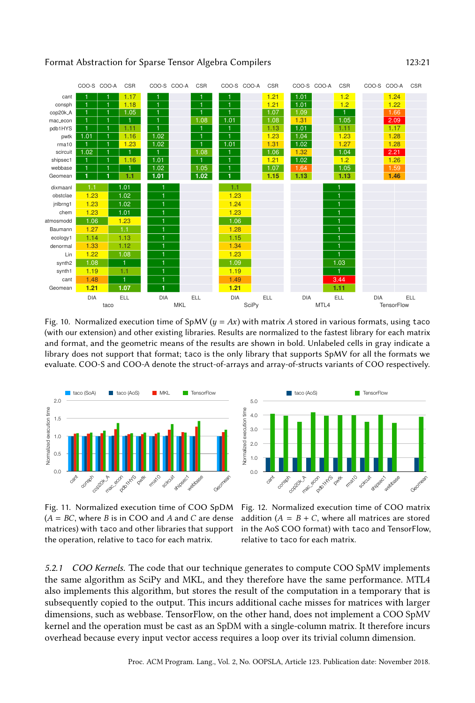<span id="page-20-0"></span>

Fig. 10. Normalized execution time of SpMV ( $y = Ax$ ) with matrix A stored in various formats, using taco (with our extension) and other existing libraries. Results are normalized to the fastest library for each matrix and format, and the geometric means of the results are shown in bold. Unlabeled cells in gray indicate a library does not support that format; taco is the only library that supports SpMV for all the formats we evaluate. COO-S and COO-A denote the struct-of-arrays and array-of-structs variants of COO respectively.

<span id="page-20-1"></span>





Fig. 12. Normalized execution time of COO matrix addition ( $A = B + C$ , where all matrices are stored in the AoS COO format) with taco and TensorFlow, relative to taco for each matrix.

5.2.1 COO Kernels. The code that our technique generates to compute COO SpMV implements the same algorithm as SciPy and MKL, and they therefore have the same performance. MTL4 also implements this algorithm, but stores the result of the computation in a temporary that is subsequently copied to the output. This incurs additional cache misses for matrices with larger dimensions, such as webbase. TensorFlow, on the other hand, does not implement a COO SpMV kernel and the operation must be cast as an SpDM with a single-column matrix. It therefore incurs overhead because every input vector access requires a loop over its trivial column dimension.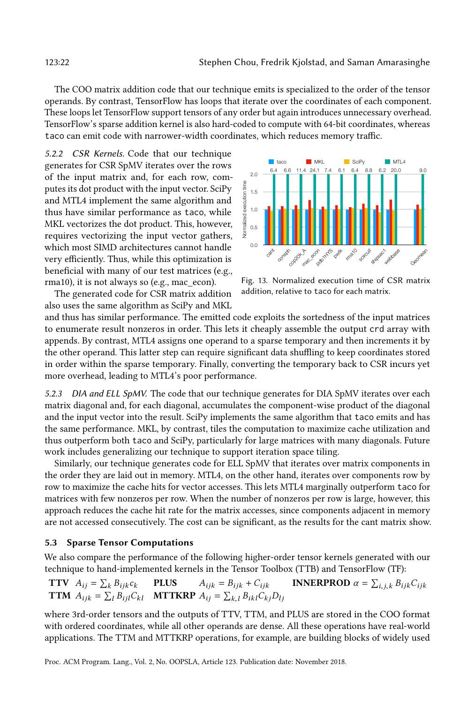The COO matrix addition code that our technique emits is specialized to the order of the tensor operands. By contrast, TensorFlow has loops that iterate over the coordinates of each component. These loops let TensorFlow support tensors of any order but again introduces unnecessary overhead. TensorFlow's sparse addition kernel is also hard-coded to compute with 64-bit coordinates, whereas taco can emit code with narrower-width coordinates, which reduces memory traffic.

5.2.2 CSR Kernels. Code that our technique generates for CSR SpMV iterates over the rows of the input matrix and, for each row, computes its dot product with the input vector. SciPy and MTL4 implement the same algorithm and thus have similar performance as taco, while MKL vectorizes the dot product. This, however, requires vectorizing the input vector gathers, which most SIMD architectures cannot handle very efficiently. Thus, while this optimization is beneficial with many of our test matrices (e.g., rma10), it is not always so (e.g., mac\_econ).

The generated code for CSR matrix addition also uses the same algorithm as SciPy and MKL

<span id="page-21-0"></span>

Fig. 13. Normalized execution time of CSR matrix addition, relative to taco for each matrix.

and thus has similar performance. The emitted code exploits the sortedness of the input matrices to enumerate result nonzeros in order. This lets it cheaply assemble the output crd array with appends. By contrast, MTL4 assigns one operand to a sparse temporary and then increments it by the other operand. This latter step can require significant data shuffling to keep coordinates stored in order within the sparse temporary. Finally, converting the temporary back to CSR incurs yet more overhead, leading to MTL4's poor performance.

5.2.3 DIA and ELL SpMV. The code that our technique generates for DIA SpMV iterates over each matrix diagonal and, for each diagonal, accumulates the component-wise product of the diagonal and the input vector into the result. SciPy implements the same algorithm that taco emits and has the same performance. MKL, by contrast, tiles the computation to maximize cache utilization and thus outperform both taco and SciPy, particularly for large matrices with many diagonals. Future work includes generalizing our technique to support iteration space tiling.

Similarly, our technique generates code for ELL SpMV that iterates over matrix components in the order they are laid out in memory. MTL4, on the other hand, iterates over components row by row to maximize the cache hits for vector accesses. This lets MTL4 marginally outperform taco for matrices with few nonzeros per row. When the number of nonzeros per row is large, however, this approach reduces the cache hit rate for the matrix accesses, since components adjacent in memory are not accessed consecutively. The cost can be significant, as the results for the cant matrix show.

#### 5.3 Sparse Tensor Computations

We also compare the performance of the following higher-order tensor kernels generated with our technique to hand-implemented kernels in the Tensor Toolbox (TTB) and TensorFlow (TF):

**TTV** 
$$
A_{ij} = \sum_k B_{ijk} c_k
$$
 **PLUS**  $A_{ijk} = B_{ijk} + C_{ijk}$  **INNERPROD**  $\alpha = \sum_{i,j,k} B_{ijk} C_{ijk}$   
**TTM**  $A_{ijk} = \sum_l B_{ijl} C_{kl}$  **MTTKRP**  $A_{ij} = \sum_{k,l} B_{ikl} C_{kj} D_{lj}$ 

where 3rd-order tensors and the outputs of TTV, TTM, and PLUS are stored in the COO format with ordered coordinates, while all other operands are dense. All these operations have real-world applications. The TTM and MTTKRP operations, for example, are building blocks of widely used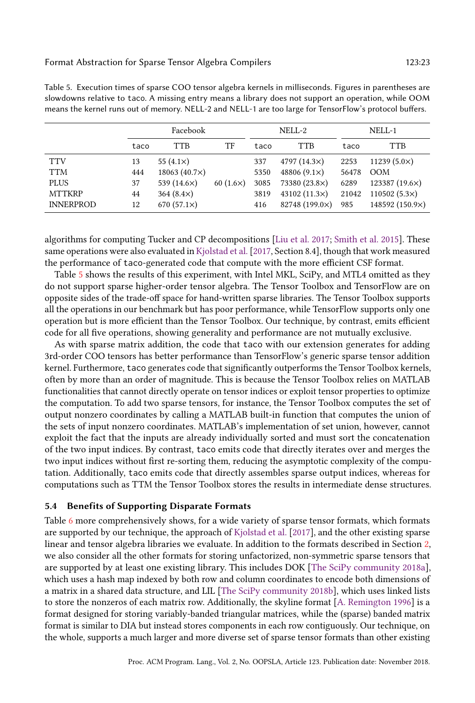|                  | Facebook |                     |                 | NELL-2 | NELL-1              |       |                      |
|------------------|----------|---------------------|-----------------|--------|---------------------|-------|----------------------|
|                  | taco     | <b>TTB</b>          | TF              | taco   | <b>TTB</b>          | taco  | <b>TTB</b>           |
| <b>TTV</b>       | 13       | 55 $(4.1\times)$    | $60(1.6\times)$ | 337    | $4797(14.3\times)$  | 2253  | $11239(5.0\times)$   |
| <b>TTM</b>       | 444      | $18063(40.7\times)$ |                 | 5350   | 48806 $(9.1x)$      | 56478 | <b>OOM</b>           |
| <b>PLUS</b>      | 37       | 539 $(14.6\times)$  |                 | 3085   | 73380 (23.8×)       | 6289  | $123387(19.6\times)$ |
| <b>MTTKRP</b>    | 44       | 364 $(8.4\times)$   |                 | 3819   | $43102(11.3\times)$ | 21042 | $110502(5.3\times)$  |
| <b>INNERPROD</b> | 12       | $670(57.1\times)$   |                 | 416    | 82748 (199.0×)      | 985   | 148592 (150.9×)      |

<span id="page-22-0"></span>Table 5. Execution times of sparse COO tensor algebra kernels in milliseconds. Figures in parentheses are slowdowns relative to taco. A missing entry means a library does not support an operation, while OOM means the kernel runs out of memory. NELL-2 and NELL-1 are too large for TensorFlow's protocol buffers.

algorithms for computing Tucker and CP decompositions [\[Liu et al.](#page-28-10) [2017;](#page-28-10) [Smith et al.](#page-28-11) [2015\]](#page-28-11). These same operations were also evaluated in [Kjolstad et al.](#page-28-1) [\[2017,](#page-28-1) Section 8.4], though that work measured the performance of taco-generated code that compute with the more efficient CSF format.

Table [5](#page-22-0) shows the results of this experiment, with Intel MKL, SciPy, and MTL4 omitted as they do not support sparse higher-order tensor algebra. The Tensor Toolbox and TensorFlow are on opposite sides of the trade-off space for hand-written sparse libraries. The Tensor Toolbox supports all the operations in our benchmark but has poor performance, while TensorFlow supports only one operation but is more efficient than the Tensor Toolbox. Our technique, by contrast, emits efficient code for all five operations, showing generality and performance are not mutually exclusive.

As with sparse matrix addition, the code that taco with our extension generates for adding 3rd-order COO tensors has better performance than TensorFlow's generic sparse tensor addition kernel. Furthermore, taco generates code that significantly outperforms the Tensor Toolbox kernels, often by more than an order of magnitude. This is because the Tensor Toolbox relies on MATLAB functionalities that cannot directly operate on tensor indices or exploit tensor properties to optimize the computation. To add two sparse tensors, for instance, the Tensor Toolbox computes the set of output nonzero coordinates by calling a MATLAB built-in function that computes the union of the sets of input nonzero coordinates. MATLAB's implementation of set union, however, cannot exploit the fact that the inputs are already individually sorted and must sort the concatenation of the two input indices. By contrast, taco emits code that directly iterates over and merges the two input indices without first re-sorting them, reducing the asymptotic complexity of the computation. Additionally, taco emits code that directly assembles sparse output indices, whereas for computations such as TTM the Tensor Toolbox stores the results in intermediate dense structures.

#### 5.4 Benefits of Supporting Disparate Formats

Table [6](#page-23-0) more comprehensively shows, for a wide variety of sparse tensor formats, which formats are supported by our technique, the approach of [Kjolstad et al.](#page-28-1) [\[2017\]](#page-28-1), and the other existing sparse linear and tensor algebra libraries we evaluate. In addition to the formats described in Section [2,](#page-2-0) we also consider all the other formats for storing unfactorized, non-symmetric sparse tensors that are supported by at least one existing library. This includes DOK [\[The SciPy community 2018a\]](#page-29-1), which uses a hash map indexed by both row and column coordinates to encode both dimensions of a matrix in a shared data structure, and LIL [\[The SciPy community 2018b\]](#page-29-2), which uses linked lists to store the nonzeros of each matrix row. Additionally, the skyline format [\[A. Remington 1996\]](#page-27-14) is a format designed for storing variably-banded triangular matrices, while the (sparse) banded matrix format is similar to DIA but instead stores components in each row contiguously. Our technique, on the whole, supports a much larger and more diverse set of sparse tensor formats than other existing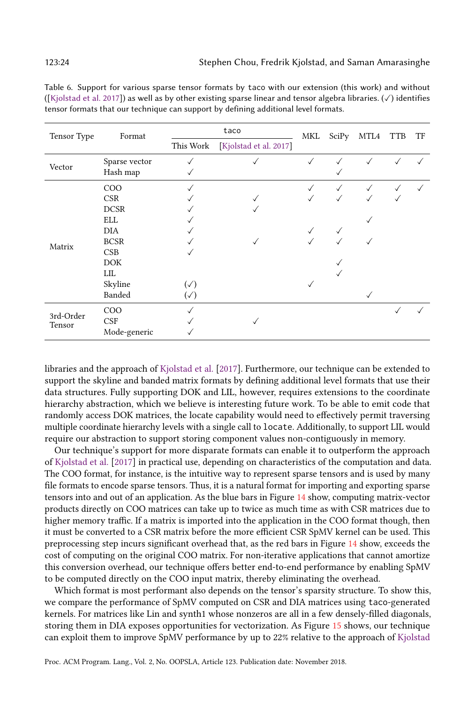| Tensor Type         |                 | taco<br>Format |                        | MKL | SciPy        | MTL4 | TTB | TF |
|---------------------|-----------------|----------------|------------------------|-----|--------------|------|-----|----|
|                     |                 | This Work      | [Kjolstad et al. 2017] |     |              |      |     |    |
|                     | Sparse vector   |                |                        | ✓   |              |      |     |    |
| Vector              | Hash map        |                |                        |     |              |      |     |    |
|                     | CO <sub>O</sub> |                |                        |     | $\checkmark$ |      |     |    |
|                     | <b>CSR</b>      |                |                        |     |              |      |     |    |
|                     | <b>DCSR</b>     |                |                        |     |              |      |     |    |
|                     | <b>ELL</b>      |                |                        |     |              |      |     |    |
|                     | <b>DIA</b>      |                |                        |     |              |      |     |    |
|                     | <b>BCSR</b>     |                |                        |     |              |      |     |    |
| Matrix              | CSB             |                |                        |     |              |      |     |    |
|                     | <b>DOK</b>      |                |                        |     |              |      |     |    |
|                     | LIL             |                |                        |     |              |      |     |    |
|                     | Skyline         | $(\sqrt{2})$   |                        |     |              |      |     |    |
|                     | Banded          | $(\sqrt{2})$   |                        |     |              |      |     |    |
| 3rd-Order<br>Tensor | COO             |                |                        |     |              |      |     |    |
|                     | CSF             |                |                        |     |              |      |     |    |
|                     | Mode-generic    |                |                        |     |              |      |     |    |

<span id="page-23-0"></span>Table 6. Support for various sparse tensor formats by taco with our extension (this work) and without ([\[Kjolstad et al.](#page-28-1) [2017\]](#page-28-1)) as well as by other existing sparse linear and tensor algebra libraries. (✓) identifies tensor formats that our technique can support by defining additional level formats.

libraries and the approach of [Kjolstad et al.](#page-28-1) [\[2017\]](#page-28-1). Furthermore, our technique can be extended to support the skyline and banded matrix formats by defining additional level formats that use their data structures. Fully supporting DOK and LIL, however, requires extensions to the coordinate hierarchy abstraction, which we believe is interesting future work. To be able to emit code that randomly access DOK matrices, the locate capability would need to effectively permit traversing multiple coordinate hierarchy levels with a single call to locate. Additionally, to support LIL would require our abstraction to support storing component values non-contiguously in memory.

Our technique's support for more disparate formats can enable it to outperform the approach of [Kjolstad et al.](#page-28-1) [\[2017\]](#page-28-1) in practical use, depending on characteristics of the computation and data. The COO format, for instance, is the intuitive way to represent sparse tensors and is used by many file formats to encode sparse tensors. Thus, it is a natural format for importing and exporting sparse tensors into and out of an application. As the blue bars in Figure [14](#page-24-0) show, computing matrix-vector products directly on COO matrices can take up to twice as much time as with CSR matrices due to higher memory traffic. If a matrix is imported into the application in the COO format though, then it must be converted to a CSR matrix before the more efficient CSR SpMV kernel can be used. This preprocessing step incurs significant overhead that, as the red bars in Figure [14](#page-24-0) show, exceeds the cost of computing on the original COO matrix. For non-iterative applications that cannot amortize this conversion overhead, our technique offers better end-to-end performance by enabling SpMV to be computed directly on the COO input matrix, thereby eliminating the overhead.

Which format is most performant also depends on the tensor's sparsity structure. To show this, we compare the performance of SpMV computed on CSR and DIA matrices using taco-generated kernels. For matrices like Lin and synth1 whose nonzeros are all in a few densely-filled diagonals, storing them in DIA exposes opportunities for vectorization. As Figure [15](#page-24-0) shows, our technique can exploit them to improve SpMV performance by up to 22% relative to the approach of [Kjolstad](#page-28-1)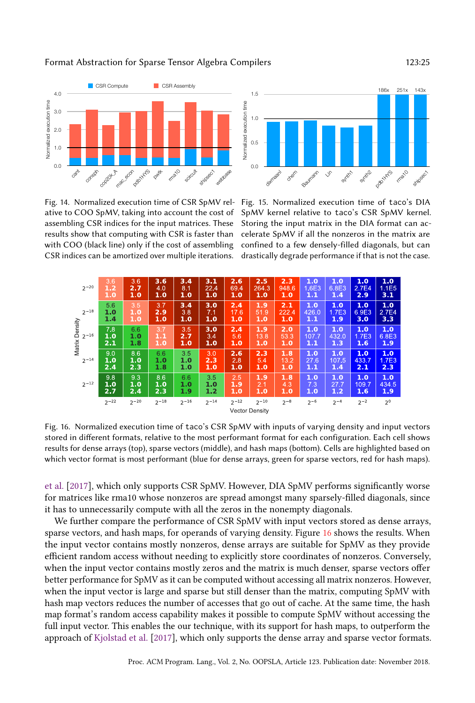<span id="page-24-0"></span>



Fig. 14. Normalized execution time of CSR SpMV relative to COO SpMV, taking into account the cost of assembling CSR indices for the input matrices. These results show that computing with CSR is faster than with COO (black line) only if the cost of assembling CSR indices can be amortized over multiple iterations.

Fig. 15. Normalized execution time of taco's DIA SpMV kernel relative to taco's CSR SpMV kernel. Storing the input matrix in the DIA format can accelerate SpMV if all the nonzeros in the matrix are confined to a few densely-filled diagonals, but can drastically degrade performance if that is not the case.

<span id="page-24-1"></span>

Fig. 16. Normalized execution time of taco's CSR SpMV with inputs of varying density and input vectors stored in different formats, relative to the most performant format for each configuration. Each cell shows results for dense arrays (top), sparse vectors (middle), and hash maps (bottom). Cells are highlighted based on which vector format is most performant (blue for dense arrays, green for sparse vectors, red for hash maps).

[et al.](#page-28-1) [\[2017\]](#page-28-1), which only supports CSR SpMV. However, DIA SpMV performs significantly worse for matrices like rma10 whose nonzeros are spread amongst many sparsely-filled diagonals, since it has to unnecessarily compute with all the zeros in the nonempty diagonals.

We further compare the performance of CSR SpMV with input vectors stored as dense arrays, sparse vectors, and hash maps, for operands of varying density. Figure [16](#page-24-1) shows the results. When the input vector contains mostly nonzeros, dense arrays are suitable for SpMV as they provide efficient random access without needing to explicitly store coordinates of nonzeros. Conversely, when the input vector contains mostly zeros and the matrix is much denser, sparse vectors offer better performance for SpMV as it can be computed without accessing all matrix nonzeros. However, when the input vector is large and sparse but still denser than the matrix, computing SpMV with hash map vectors reduces the number of accesses that go out of cache. At the same time, the hash map format's random access capability makes it possible to compute SpMV without accessing the full input vector. This enables the our technique, with its support for hash maps, to outperform the approach of [Kjolstad et al.](#page-28-1) [\[2017\]](#page-28-1), which only supports the dense array and sparse vector formats.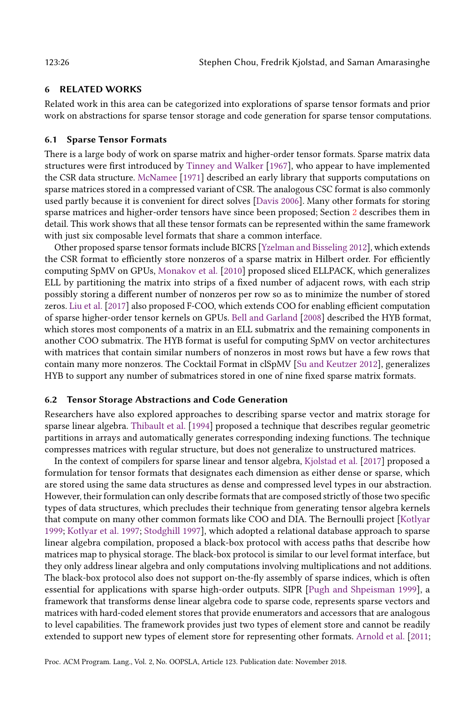#### 6 RELATED WORKS

Related work in this area can be categorized into explorations of sparse tensor formats and prior work on abstractions for sparse tensor storage and code generation for sparse tensor computations.

#### 6.1 Sparse Tensor Formats

There is a large body of work on sparse matrix and higher-order tensor formats. Sparse matrix data structures were first introduced by [Tinney and Walker](#page-29-3) [\[1967\]](#page-29-3), who appear to have implemented the CSR data structure. [McNamee](#page-28-12) [\[1971\]](#page-28-12) described an early library that supports computations on sparse matrices stored in a compressed variant of CSR. The analogous CSC format is also commonly used partly because it is convenient for direct solves [\[Davis 2006\]](#page-27-15). Many other formats for storing sparse matrices and higher-order tensors have since been proposed; Section [2](#page-2-0) describes them in detail. This work shows that all these tensor formats can be represented within the same framework with just six composable level formats that share a common interface.

Other proposed sparse tensor formats include BICRS [\[Yzelman and Bisseling 2012\]](#page-29-4), which extends the CSR format to efficiently store nonzeros of a sparse matrix in Hilbert order. For efficiently computing SpMV on GPUs, [Monakov et al.](#page-28-13) [\[2010\]](#page-28-13) proposed sliced ELLPACK, which generalizes ELL by partitioning the matrix into strips of a fixed number of adjacent rows, with each strip possibly storing a different number of nonzeros per row so as to minimize the number of stored zeros. [Liu et al.](#page-28-10) [\[2017\]](#page-28-10) also proposed F-COO, which extends COO for enabling efficient computation of sparse higher-order tensor kernels on GPUs. [Bell and Garland](#page-27-12) [\[2008\]](#page-27-12) described the HYB format, which stores most components of a matrix in an ELL submatrix and the remaining components in another COO submatrix. The HYB format is useful for computing SpMV on vector architectures with matrices that contain similar numbers of nonzeros in most rows but have a few rows that contain many more nonzeros. The Cocktail Format in clSpMV [\[Su and Keutzer 2012\]](#page-28-14), generalizes HYB to support any number of submatrices stored in one of nine fixed sparse matrix formats.

#### 6.2 Tensor Storage Abstractions and Code Generation

Researchers have also explored approaches to describing sparse vector and matrix storage for sparse linear algebra. [Thibault et al.](#page-29-5) [\[1994\]](#page-29-5) proposed a technique that describes regular geometric partitions in arrays and automatically generates corresponding indexing functions. The technique compresses matrices with regular structure, but does not generalize to unstructured matrices.

In the context of compilers for sparse linear and tensor algebra, [Kjolstad et al.](#page-28-1) [\[2017\]](#page-28-1) proposed a formulation for tensor formats that designates each dimension as either dense or sparse, which are stored using the same data structures as dense and compressed level types in our abstraction. However, their formulation can only describe formats that are composed strictly of those two specific types of data structures, which precludes their technique from generating tensor algebra kernels that compute on many other common formats like COO and DIA. The Bernoulli project [\[Kotlyar](#page-28-15) [1999;](#page-28-15) [Kotlyar et al.](#page-28-16) [1997;](#page-28-16) [Stodghill 1997\]](#page-28-17), which adopted a relational database approach to sparse linear algebra compilation, proposed a black-box protocol with access paths that describe how matrices map to physical storage. The black-box protocol is similar to our level format interface, but they only address linear algebra and only computations involving multiplications and not additions. The black-box protocol also does not support on-the-fly assembly of sparse indices, which is often essential for applications with sparse high-order outputs. SIPR [\[Pugh and Shpeisman 1999\]](#page-28-18), a framework that transforms dense linear algebra code to sparse code, represents sparse vectors and matrices with hard-coded element stores that provide enumerators and accessors that are analogous to level capabilities. The framework provides just two types of element store and cannot be readily extended to support new types of element store for representing other formats. [Arnold et al.](#page-27-16) [\[2011;](#page-27-17)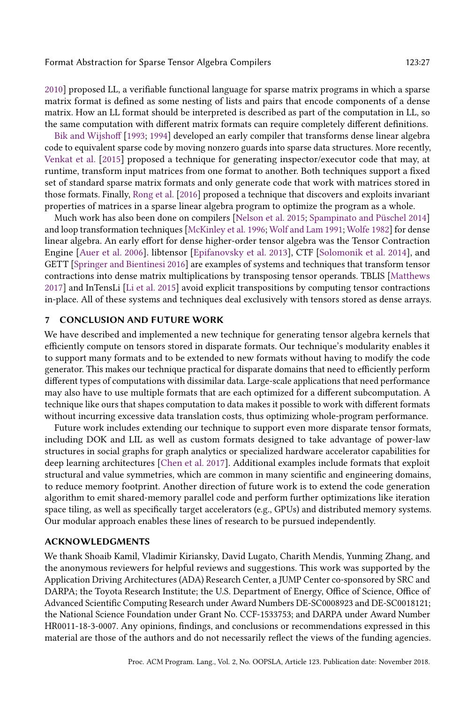[2010\]](#page-27-16) proposed LL, a verifiable functional language for sparse matrix programs in which a sparse matrix format is defined as some nesting of lists and pairs that encode components of a dense matrix. How an LL format should be interpreted is described as part of the computation in LL, so the same computation with different matrix formats can require completely different definitions.

[Bik and Wijshoff](#page-27-18) [\[1993;](#page-27-18) [1994\]](#page-27-19) developed an early compiler that transforms dense linear algebra code to equivalent sparse code by moving nonzero guards into sparse data structures. More recently, [Venkat et al.](#page-29-6) [\[2015\]](#page-29-6) proposed a technique for generating inspector/executor code that may, at runtime, transform input matrices from one format to another. Both techniques support a fixed set of standard sparse matrix formats and only generate code that work with matrices stored in those formats. Finally, [Rong et al.](#page-28-19) [\[2016\]](#page-28-19) proposed a technique that discovers and exploits invariant properties of matrices in a sparse linear algebra program to optimize the program as a whole.

Much work has also been done on compilers [\[Nelson et al.](#page-28-20) [2015;](#page-28-20) [Spampinato and Püschel 2014\]](#page-28-21) and loop transformation techniques [\[McKinley et al.](#page-28-22) [1996;](#page-28-22) [Wolf and Lam 1991;](#page-29-7) [Wolfe 1982\]](#page-29-8) for dense linear algebra. An early effort for dense higher-order tensor algebra was the Tensor Contraction Engine [\[Auer et al.](#page-27-20) [2006\]](#page-27-20). libtensor [\[Epifanovsky et al.](#page-27-21) [2013\]](#page-27-21), CTF [\[Solomonik et al.](#page-28-23) [2014\]](#page-28-23), and GETT [\[Springer and Bientinesi 2016\]](#page-28-24) are examples of systems and techniques that transform tensor contractions into dense matrix multiplications by transposing tensor operands. TBLIS [\[Matthews](#page-28-25) [2017\]](#page-28-25) and InTensLi [\[Li et al.](#page-28-26) [2015\]](#page-28-26) avoid explicit transpositions by computing tensor contractions in-place. All of these systems and techniques deal exclusively with tensors stored as dense arrays.

# 7 CONCLUSION AND FUTURE WORK

We have described and implemented a new technique for generating tensor algebra kernels that efficiently compute on tensors stored in disparate formats. Our technique's modularity enables it to support many formats and to be extended to new formats without having to modify the code generator. This makes our technique practical for disparate domains that need to efficiently perform different types of computations with dissimilar data. Large-scale applications that need performance may also have to use multiple formats that are each optimized for a different subcomputation. A technique like ours that shapes computation to data makes it possible to work with different formats without incurring excessive data translation costs, thus optimizing whole-program performance.

Future work includes extending our technique to support even more disparate tensor formats, including DOK and LIL as well as custom formats designed to take advantage of power-law structures in social graphs for graph analytics or specialized hardware accelerator capabilities for deep learning architectures [\[Chen et al.](#page-27-22) [2017\]](#page-27-22). Additional examples include formats that exploit structural and value symmetries, which are common in many scientific and engineering domains, to reduce memory footprint. Another direction of future work is to extend the code generation algorithm to emit shared-memory parallel code and perform further optimizations like iteration space tiling, as well as specifically target accelerators (e.g., GPUs) and distributed memory systems. Our modular approach enables these lines of research to be pursued independently.

#### ACKNOWLEDGMENTS

We thank Shoaib Kamil, Vladimir Kiriansky, David Lugato, Charith Mendis, Yunming Zhang, and the anonymous reviewers for helpful reviews and suggestions. This work was supported by the Application Driving Architectures (ADA) Research Center, a JUMP Center co-sponsored by SRC and DARPA; the Toyota Research Institute; the U.S. Department of Energy, Office of Science, Office of Advanced Scientific Computing Research under Award Numbers DE-SC0008923 and DE-SC0018121; the National Science Foundation under Grant No. CCF-1533753; and DARPA under Award Number HR0011-18-3-0007. Any opinions, findings, and conclusions or recommendations expressed in this material are those of the authors and do not necessarily reflect the views of the funding agencies.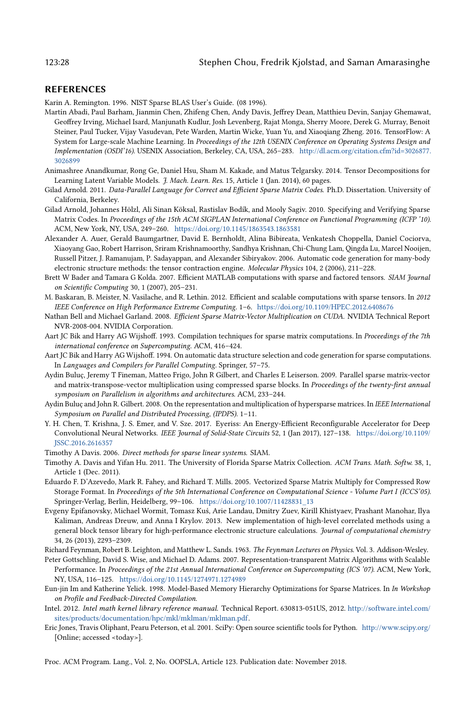#### 123:28 Stephen Chou, Fredrik Kjolstad, and Saman Amarasinghe

#### REFERENCES

<span id="page-27-14"></span>Karin A. Remington. 1996. NIST Sparse BLAS User's Guide. (08 1996).

- <span id="page-27-0"></span>Martín Abadi, Paul Barham, Jianmin Chen, Zhifeng Chen, Andy Davis, Jeffrey Dean, Matthieu Devin, Sanjay Ghemawat, Geoffrey Irving, Michael Isard, Manjunath Kudlur, Josh Levenberg, Rajat Monga, Sherry Moore, Derek G. Murray, Benoit Steiner, Paul Tucker, Vijay Vasudevan, Pete Warden, Martin Wicke, Yuan Yu, and Xiaoqiang Zheng. 2016. TensorFlow: A System for Large-scale Machine Learning. In Proceedings of the 12th USENIX Conference on Operating Systems Design and Implementation (OSDI'16). USENIX Association, Berkeley, CA, USA, 265–283. [http://dl.acm.org/citation.cfm?id=3026877.](http://dl.acm.org/citation.cfm?id=3026877.3026899) [3026899](http://dl.acm.org/citation.cfm?id=3026877.3026899)
- <span id="page-27-1"></span>Animashree Anandkumar, Rong Ge, Daniel Hsu, Sham M. Kakade, and Matus Telgarsky. 2014. Tensor Decompositions for Learning Latent Variable Models. J. Mach. Learn. Res. 15, Article 1 (Jan. 2014), 60 pages.
- <span id="page-27-17"></span>Gilad Arnold. 2011. Data-Parallel Language for Correct and Efficient Sparse Matrix Codes. Ph.D. Dissertation. University of California, Berkeley.
- <span id="page-27-16"></span>Gilad Arnold, Johannes Hölzl, Ali Sinan Köksal, Rastislav Bodík, and Mooly Sagiv. 2010. Specifying and Verifying Sparse Matrix Codes. In Proceedings of the 15th ACM SIGPLAN International Conference on Functional Programming (ICFP '10). ACM, New York, NY, USA, 249–260. <https://doi.org/10.1145/1863543.1863581>
- <span id="page-27-20"></span>Alexander A. Auer, Gerald Baumgartner, David E. Bernholdt, Alina Bibireata, Venkatesh Choppella, Daniel Cociorva, Xiaoyang Gao, Robert Harrison, Sriram Krishnamoorthy, Sandhya Krishnan, Chi-Chung Lam, Qingda Lu, Marcel Nooijen, Russell Pitzer, J. Ramanujam, P. Sadayappan, and Alexander Sibiryakov. 2006. Automatic code generation for many-body electronic structure methods: the tensor contraction engine. Molecular Physics 104, 2 (2006), 211–228.
- <span id="page-27-3"></span>Brett W Bader and Tamara G Kolda. 2007. Efficient MATLAB computations with sparse and factored tensors. SIAM Journal on Scientific Computing 30, 1 (2007), 205–231.
- <span id="page-27-7"></span>M. Baskaran, B. Meister, N. Vasilache, and R. Lethin. 2012. Efficient and scalable computations with sparse tensors. In 2012 IEEE Conference on High Performance Extreme Computing. 1–6. <https://doi.org/10.1109/HPEC.2012.6408676>
- <span id="page-27-12"></span>Nathan Bell and Michael Garland. 2008. Efficient Sparse Matrix-Vector Multiplication on CUDA. NVIDIA Technical Report NVR-2008-004. NVIDIA Corporation.
- <span id="page-27-18"></span>Aart JC Bik and Harry AG Wijshoff. 1993. Compilation techniques for sparse matrix computations. In Proceedings of the 7th international conference on Supercomputing. ACM, 416–424.
- <span id="page-27-19"></span>Aart JC Bik and Harry AG Wijshoff. 1994. On automatic data structure selection and code generation for sparse computations. In Languages and Compilers for Parallel Computing. Springer, 57–75.
- <span id="page-27-8"></span>Aydin Buluç, Jeremy T Fineman, Matteo Frigo, John R Gilbert, and Charles E Leiserson. 2009. Parallel sparse matrix-vector and matrix-transpose-vector multiplication using compressed sparse blocks. In Proceedings of the twenty-first annual symposium on Parallelism in algorithms and architectures. ACM, 233–244.
- <span id="page-27-4"></span>Aydin Buluç and John R. Gilbert. 2008. On the representation and multiplication of hypersparse matrices. In IEEE International Symposium on Parallel and Distributed Processing, (IPDPS). 1–11.
- <span id="page-27-22"></span>Y. H. Chen, T. Krishna, J. S. Emer, and V. Sze. 2017. Eyeriss: An Energy-Efficient Reconfigurable Accelerator for Deep Convolutional Neural Networks. IEEE Journal of Solid-State Circuits 52, 1 (Jan 2017), 127–138. [https://doi.org/10.1109/](https://doi.org/10.1109/JSSC.2016.2616357) [JSSC.2016.2616357](https://doi.org/10.1109/JSSC.2016.2616357)
- <span id="page-27-15"></span>Timothy A Davis. 2006. Direct methods for sparse linear systems. SIAM.
- <span id="page-27-13"></span>Timothy A. Davis and Yifan Hu. 2011. The University of Florida Sparse Matrix Collection. ACM Trans. Math. Softw. 38, 1, Article 1 (Dec. 2011).
- <span id="page-27-5"></span>Eduardo F. D'Azevedo, Mark R. Fahey, and Richard T. Mills. 2005. Vectorized Sparse Matrix Multiply for Compressed Row Storage Format. In Proceedings of the 5th International Conference on Computational Science - Volume Part I (ICCS'05). Springer-Verlag, Berlin, Heidelberg, 99–106. [https://doi.org/10.1007/11428831\\_13](https://doi.org/10.1007/11428831_13)
- <span id="page-27-21"></span>Evgeny Epifanovsky, Michael Wormit, Tomasz Kuś, Arie Landau, Dmitry Zuev, Kirill Khistyaev, Prashant Manohar, Ilya Kaliman, Andreas Dreuw, and Anna I Krylov. 2013. New implementation of high-level correlated methods using a general block tensor library for high-performance electronic structure calculations. Journal of computational chemistry 34, 26 (2013), 2293–2309.
- <span id="page-27-2"></span>Richard Feynman, Robert B. Leighton, and Matthew L. Sands. 1963. The Feynman Lectures on Physics. Vol. 3. Addison-Wesley.
- <span id="page-27-11"></span>Peter Gottschling, David S. Wise, and Michael D. Adams. 2007. Representation-transparent Matrix Algorithms with Scalable Performance. In Proceedings of the 21st Annual International Conference on Supercomputing (ICS '07). ACM, New York, NY, USA, 116–125. <https://doi.org/10.1145/1274971.1274989>
- <span id="page-27-6"></span>Eun-jin Im and Katherine Yelick. 1998. Model-Based Memory Hierarchy Optimizations for Sparse Matrices. In In Workshop on Profile and Feedback-Directed Compilation.
- <span id="page-27-9"></span>Intel. 2012. Intel math kernel library reference manual. Technical Report. 630813-051US, 2012. [http://software.intel.com/](http://software.intel.com/sites/products/documentation/hpc/mkl/mklman/mklman.pdf) [sites/products/documentation/hpc/mkl/mklman/mklman.pdf.](http://software.intel.com/sites/products/documentation/hpc/mkl/mklman/mklman.pdf)
- <span id="page-27-10"></span>Eric Jones, Travis Oliphant, Pearu Peterson, et al. 2001. SciPy: Open source scientific tools for Python. <http://www.scipy.org/> [Online; accessed <today>].

Proc. ACM Program. Lang., Vol. 2, No. OOPSLA, Article 123. Publication date: November 2018.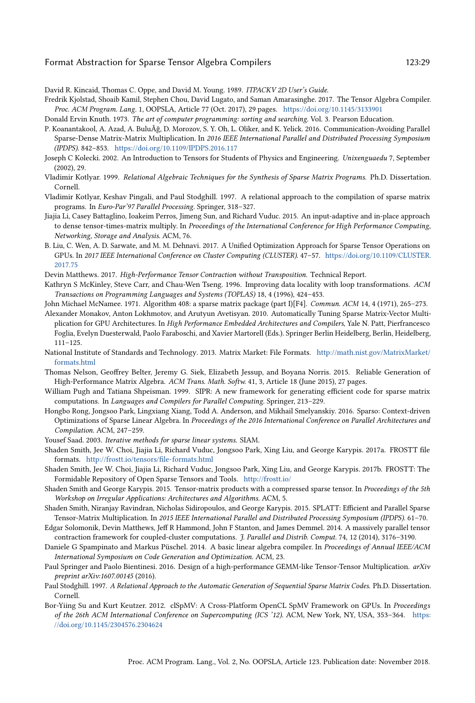<span id="page-28-5"></span>David R. Kincaid, Thomas C. Oppe, and David M. Young. 1989. ITPACKV 2D User's Guide.

<span id="page-28-1"></span>Fredrik Kjolstad, Shoaib Kamil, Stephen Chou, David Lugato, and Saman Amarasinghe. 2017. The Tensor Algebra Compiler. Proc. ACM Program. Lang. 1, OOPSLA, Article 77 (Oct. 2017), 29 pages. <https://doi.org/10.1145/3133901>

<span id="page-28-7"></span>Donald Ervin Knuth. 1973. The art of computer programming: sorting and searching. Vol. 3. Pearson Education.

- <span id="page-28-9"></span>P. Koanantakool, A. Azad, A. BuluÃğ, D. Morozov, S. Y. Oh, L. Oliker, and K. Yelick. 2016. Communication-Avoiding Parallel Sparse-Dense Matrix-Matrix Multiplication. In 2016 IEEE International Parallel and Distributed Processing Symposium (IPDPS). 842–853. <https://doi.org/10.1109/IPDPS.2016.117>
- <span id="page-28-0"></span>Joseph C Kolecki. 2002. An Introduction to Tensors for Students of Physics and Engineering. Unixenguaedu 7, September (2002), 29.
- <span id="page-28-15"></span>Vladimir Kotlyar. 1999. Relational Algebraic Techniques for the Synthesis of Sparse Matrix Programs. Ph.D. Dissertation. Cornell.
- <span id="page-28-16"></span>Vladimir Kotlyar, Keshav Pingali, and Paul Stodghill. 1997. A relational approach to the compilation of sparse matrix programs. In Euro-Par'97 Parallel Processing. Springer, 318–327.
- <span id="page-28-26"></span>Jiajia Li, Casey Battaglino, Ioakeim Perros, Jimeng Sun, and Richard Vuduc. 2015. An input-adaptive and in-place approach to dense tensor-times-matrix multiply. In Proceedings of the International Conference for High Performance Computing, Networking, Storage and Analysis. ACM, 76.
- <span id="page-28-10"></span>B. Liu, C. Wen, A. D. Sarwate, and M. M. Dehnavi. 2017. A Unified Optimization Approach for Sparse Tensor Operations on GPUs. In 2017 IEEE International Conference on Cluster Computing (CLUSTER). 47–57. [https://doi.org/10.1109/CLUSTER.](https://doi.org/10.1109/CLUSTER.2017.75) [2017.75](https://doi.org/10.1109/CLUSTER.2017.75)

<span id="page-28-25"></span>Devin Matthews. 2017. High-Performance Tensor Contraction without Transposition. Technical Report.

- <span id="page-28-22"></span>Kathryn S McKinley, Steve Carr, and Chau-Wen Tseng. 1996. Improving data locality with loop transformations. ACM Transactions on Programming Languages and Systems (TOPLAS) 18, 4 (1996), 424–453.
- <span id="page-28-12"></span>John Michael McNamee. 1971. Algorithm 408: a sparse matrix package (part I)[F4]. Commun. ACM 14, 4 (1971), 265–273.

<span id="page-28-13"></span>Alexander Monakov, Anton Lokhmotov, and Arutyun Avetisyan. 2010. Automatically Tuning Sparse Matrix-Vector Multiplication for GPU Architectures. In High Performance Embedded Architectures and Compilers, Yale N. Patt, Pierfrancesco Foglia, Evelyn Duesterwald, Paolo Faraboschi, and Xavier Martorell (Eds.). Springer Berlin Heidelberg, Berlin, Heidelberg, 111–125.

- <span id="page-28-3"></span>National Institute of Standards and Technology. 2013. Matrix Market: File Formats. [http://math.nist.gov/MatrixMarket/](http://math.nist.gov/MatrixMarket/formats.html) [formats.html](http://math.nist.gov/MatrixMarket/formats.html)
- <span id="page-28-20"></span>Thomas Nelson, Geoffrey Belter, Jeremy G. Siek, Elizabeth Jessup, and Boyana Norris. 2015. Reliable Generation of High-Performance Matrix Algebra. ACM Trans. Math. Softw. 41, 3, Article 18 (June 2015), 27 pages.
- <span id="page-28-18"></span>William Pugh and Tatiana Shpeisman. 1999. SIPR: A new framework for generating efficient code for sparse matrix computations. In Languages and Compilers for Parallel Computing. Springer, 213–229.
- <span id="page-28-19"></span>Hongbo Rong, Jongsoo Park, Lingxiang Xiang, Todd A. Anderson, and Mikhail Smelyanskiy. 2016. Sparso: Context-driven Optimizations of Sparse Linear Algebra. In Proceedings of the 2016 International Conference on Parallel Architectures and Compilation. ACM, 247–259.
- <span id="page-28-6"></span>Yousef Saad. 2003. Iterative methods for sparse linear systems. SIAM.
- <span id="page-28-2"></span>Shaden Smith, Jee W. Choi, Jiajia Li, Richard Vuduc, Jongsoo Park, Xing Liu, and George Karypis. 2017a. FROSTT file formats. <http://frostt.io/tensors/file-formats.html>
- <span id="page-28-8"></span>Shaden Smith, Jee W. Choi, Jiajia Li, Richard Vuduc, Jongsoo Park, Xing Liu, and George Karypis. 2017b. FROSTT: The Formidable Repository of Open Sparse Tensors and Tools. <http://frostt.io/>
- <span id="page-28-4"></span>Shaden Smith and George Karypis. 2015. Tensor-matrix products with a compressed sparse tensor. In Proceedings of the 5th Workshop on Irregular Applications: Architectures and Algorithms. ACM, 5.
- <span id="page-28-11"></span>Shaden Smith, Niranjay Ravindran, Nicholas Sidiropoulos, and George Karypis. 2015. SPLATT: Efficient and Parallel Sparse Tensor-Matrix Multiplication. In 2015 IEEE International Parallel and Distributed Processing Symposium (IPDPS). 61–70.
- <span id="page-28-23"></span>Edgar Solomonik, Devin Matthews, Jeff R Hammond, John F Stanton, and James Demmel. 2014. A massively parallel tensor contraction framework for coupled-cluster computations. J. Parallel and Distrib. Comput. 74, 12 (2014), 3176–3190.
- <span id="page-28-21"></span>Daniele G Spampinato and Markus Püschel. 2014. A basic linear algebra compiler. In Proceedings of Annual IEEE/ACM International Symposium on Code Generation and Optimization. ACM, 23.
- <span id="page-28-24"></span>Paul Springer and Paolo Bientinesi. 2016. Design of a high-performance GEMM-like Tensor-Tensor Multiplication. arXiv preprint arXiv:1607.00145 (2016).
- <span id="page-28-17"></span>Paul Stodghill. 1997. A Relational Approach to the Automatic Generation of Sequential Sparse Matrix Codes. Ph.D. Dissertation. Cornell.
- <span id="page-28-14"></span>Bor-Yiing Su and Kurt Keutzer. 2012. clSpMV: A Cross-Platform OpenCL SpMV Framework on GPUs. In Proceedings of the 26th ACM International Conference on Supercomputing (ICS '12). ACM, New York, NY, USA, 353–364. [https:](https://doi.org/10.1145/2304576.2304624) [//doi.org/10.1145/2304576.2304624](https://doi.org/10.1145/2304576.2304624)